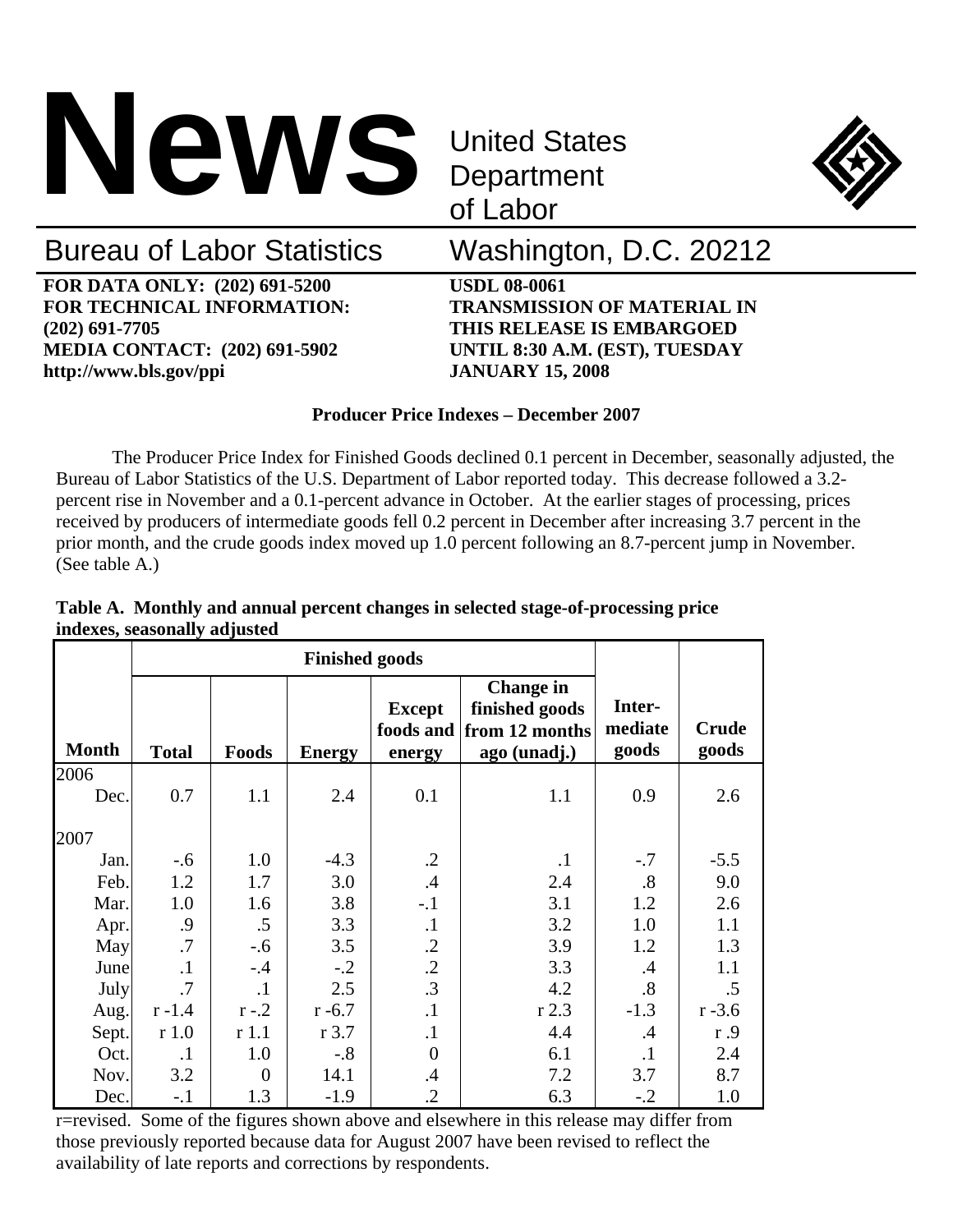

**Department** of Labor



# Bureau of Labor Statistics Washington, D.C. 20212

**FOR DATA ONLY: (202) 691-5200 USDL 08-0061 FOR TECHNICAL INFORMATION: TRANSMISSION OF MATERIAL IN (202) 691-7705 THIS RELEASE IS EMBARGOED MEDIA CONTACT: (202) 691-5902 UNTIL 8:30 A.M. (EST), TUESDAY http://www.bls.gov/ppi JANUARY 15, 2008** 

### **Producer Price Indexes – December 2007**

 The Producer Price Index for Finished Goods declined 0.1 percent in December, seasonally adjusted, the Bureau of Labor Statistics of the U.S. Department of Labor reported today. This decrease followed a 3.2 percent rise in November and a 0.1-percent advance in October. At the earlier stages of processing, prices received by producers of intermediate goods fell 0.2 percent in December after increasing 3.7 percent in the prior month, and the crude goods index moved up 1.0 percent following an 8.7-percent jump in November. (See table A.)

|              | <b>Finished goods</b> |                  |               |                         |                                                                                |                            |                       |
|--------------|-----------------------|------------------|---------------|-------------------------|--------------------------------------------------------------------------------|----------------------------|-----------------------|
| <b>Month</b> | <b>Total</b>          | Foods            | <b>Energy</b> | <b>Except</b><br>energy | <b>Change in</b><br>finished goods<br>foods and from 12 months<br>ago (unadj.) | Inter-<br>mediate<br>goods | <b>Crude</b><br>goods |
| 2006         |                       |                  |               |                         |                                                                                |                            |                       |
| Dec.         | 0.7                   | 1.1              | 2.4           | 0.1                     | 1.1                                                                            | 0.9                        | 2.6                   |
| 2007         |                       |                  |               |                         |                                                                                |                            |                       |
| Jan.         | $-.6$                 | 1.0              | $-4.3$        | $\cdot$ .2              | $\cdot$ 1                                                                      | $-.7$                      | $-5.5$                |
| Feb.         | 1.2                   | 1.7              | 3.0           | .4                      | 2.4                                                                            | .8                         | 9.0                   |
| Mar.         | 1.0                   | 1.6              | 3.8           | $-.1$                   | 3.1                                                                            | 1.2                        | 2.6                   |
| Apr.         | .9                    | .5               | 3.3           | $\cdot$                 | 3.2                                                                            | 1.0                        | 1.1                   |
| May          | .7                    | $-.6$            | 3.5           | $\cdot$                 | 3.9                                                                            | 1.2                        | 1.3                   |
| June         | $\cdot$ 1             | $-.4$            | $-.2$         | $\cdot$ .2              | 3.3                                                                            | .4                         | 1.1                   |
| July         | $\cdot$ 7             | $\cdot$          | 2.5           | .3                      | 4.2                                                                            | .8                         | .5                    |
| Aug.         | $r - 1.4$             | $r - 2$          | $r - 6.7$     | $\cdot$ 1               | r 2.3                                                                          | $-1.3$                     | $r - 3.6$             |
| Sept.        | r1.0                  | r1.1             | $r$ 3.7       | $\cdot$                 | 4.4                                                                            | $\cdot$                    | r.9                   |
| Oct.         | $\cdot$ 1             | 1.0              | $-.8$         | 0                       | 6.1                                                                            | $\cdot$                    | 2.4                   |
| Nov.         | 3.2                   | $\boldsymbol{0}$ | 14.1          | .4                      | 7.2                                                                            | 3.7                        | 8.7                   |
| Dec.         | $-.1$                 | 1.3              | $-1.9$        | $\cdot$                 | 6.3                                                                            | $-.2$                      | 1.0                   |

## **Table A. Monthly and annual percent changes in selected stage-of-processing price indexes, seasonally adjusted**

r=revised. Some of the figures shown above and elsewhere in this release may differ from those previously reported because data for August 2007 have been revised to reflect the availability of late reports and corrections by respondents.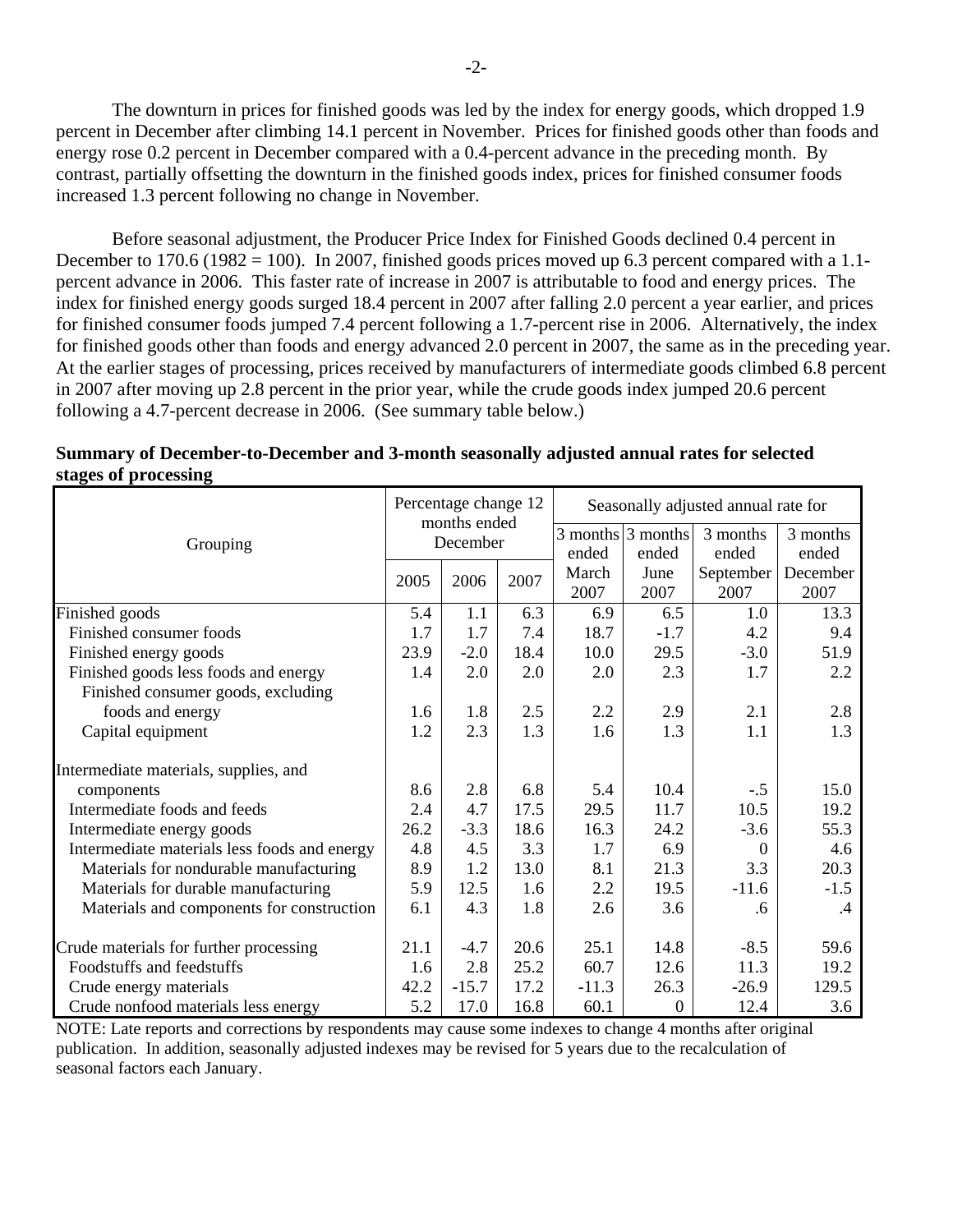The downturn in prices for finished goods was led by the index for energy goods, which dropped 1.9 percent in December after climbing 14.1 percent in November. Prices for finished goods other than foods and energy rose 0.2 percent in December compared with a 0.4-percent advance in the preceding month. By contrast, partially offsetting the downturn in the finished goods index, prices for finished consumer foods increased 1.3 percent following no change in November.

 Before seasonal adjustment, the Producer Price Index for Finished Goods declined 0.4 percent in December to 170.6 (1982 = 100). In 2007, finished goods prices moved up 6.3 percent compared with a 1.1percent advance in 2006. This faster rate of increase in 2007 is attributable to food and energy prices. The index for finished energy goods surged 18.4 percent in 2007 after falling 2.0 percent a year earlier, and prices for finished consumer foods jumped 7.4 percent following a 1.7-percent rise in 2006. Alternatively, the index for finished goods other than foods and energy advanced 2.0 percent in 2007, the same as in the preceding year. At the earlier stages of processing, prices received by manufacturers of intermediate goods climbed 6.8 percent in 2007 after moving up 2.8 percent in the prior year, while the crude goods index jumped 20.6 percent following a 4.7-percent decrease in 2006. (See summary table below.)

|                                              |      | Percentage change 12<br>months ended |      | Seasonally adjusted annual rate for |                       |           |          |
|----------------------------------------------|------|--------------------------------------|------|-------------------------------------|-----------------------|-----------|----------|
|                                              |      | December                             |      |                                     | $3$ months $3$ months | 3 months  | 3 months |
| Grouping                                     |      |                                      |      | ended                               | ended                 | ended     | ended    |
|                                              | 2005 | 2006                                 | 2007 | March                               | June                  | September | December |
|                                              |      |                                      |      | 2007                                | 2007                  | 2007      | 2007     |
| Finished goods                               | 5.4  | 1.1                                  | 6.3  | 6.9                                 | 6.5                   | 1.0       | 13.3     |
| Finished consumer foods                      | 1.7  | 1.7                                  | 7.4  | 18.7                                | $-1.7$                | 4.2       | 9.4      |
| Finished energy goods                        | 23.9 | $-2.0$                               | 18.4 | 10.0                                | 29.5                  | $-3.0$    | 51.9     |
| Finished goods less foods and energy         | 1.4  | 2.0                                  | 2.0  | 2.0                                 | 2.3                   | 1.7       | 2.2      |
| Finished consumer goods, excluding           |      |                                      |      |                                     |                       |           |          |
| foods and energy                             | 1.6  | 1.8                                  | 2.5  | 2.2                                 | 2.9                   | 2.1       | 2.8      |
| Capital equipment                            | 1.2  | 2.3                                  | 1.3  | 1.6                                 | 1.3                   | 1.1       | 1.3      |
| Intermediate materials, supplies, and        |      |                                      |      |                                     |                       |           |          |
| components                                   | 8.6  | 2.8                                  | 6.8  | 5.4                                 | 10.4                  | $-.5$     | 15.0     |
| Intermediate foods and feeds                 | 2.4  | 4.7                                  | 17.5 | 29.5                                | 11.7                  | 10.5      | 19.2     |
| Intermediate energy goods                    | 26.2 | $-3.3$                               | 18.6 | 16.3                                | 24.2                  | $-3.6$    | 55.3     |
| Intermediate materials less foods and energy | 4.8  | 4.5                                  | 3.3  | 1.7                                 | 6.9                   | $\Omega$  | 4.6      |
| Materials for nondurable manufacturing       | 8.9  | 1.2                                  | 13.0 | 8.1                                 | 21.3                  | 3.3       | 20.3     |
| Materials for durable manufacturing          | 5.9  | 12.5                                 | 1.6  | 2.2                                 | 19.5                  | $-11.6$   | $-1.5$   |
| Materials and components for construction    | 6.1  | 4.3                                  | 1.8  | 2.6                                 | 3.6                   | .6        | .4       |
| Crude materials for further processing       | 21.1 | $-4.7$                               | 20.6 | 25.1                                | 14.8                  | $-8.5$    | 59.6     |
| Foodstuffs and feedstuffs                    | 1.6  | 2.8                                  | 25.2 | 60.7                                | 12.6                  | 11.3      | 19.2     |
| Crude energy materials                       | 42.2 | $-15.7$                              | 17.2 | $-11.3$                             | 26.3                  | $-26.9$   | 129.5    |
| Crude nonfood materials less energy          | 5.2  | 17.0                                 | 16.8 | 60.1                                | $\overline{0}$        | 12.4      | 3.6      |

| Summary of December-to-December and 3-month seasonally adjusted annual rates for selected |  |  |
|-------------------------------------------------------------------------------------------|--|--|
| stages of processing                                                                      |  |  |

NOTE: Late reports and corrections by respondents may cause some indexes to change 4 months after original publication. In addition, seasonally adjusted indexes may be revised for 5 years due to the recalculation of seasonal factors each January.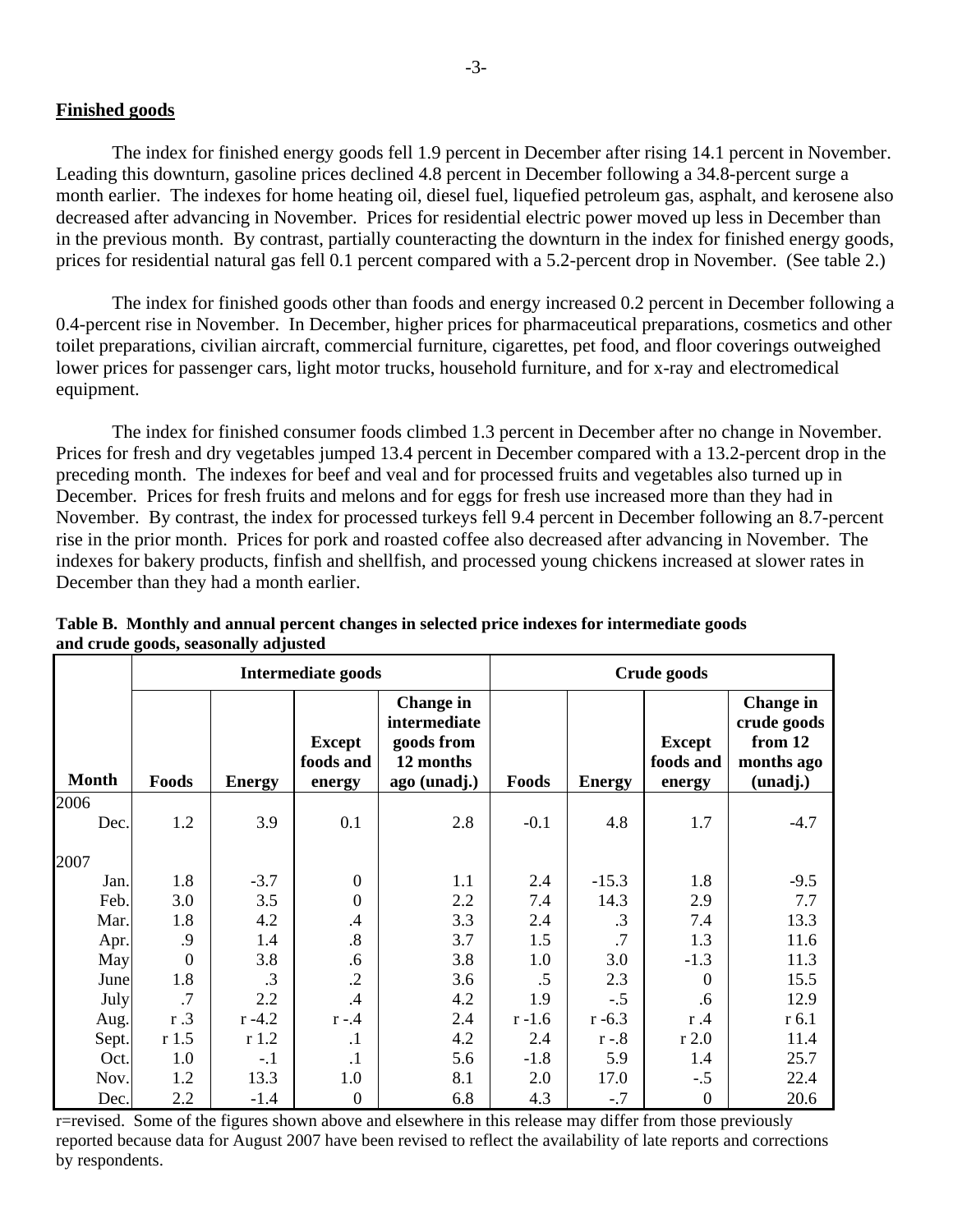### **Finished goods**

 The index for finished energy goods fell 1.9 percent in December after rising 14.1 percent in November. Leading this downturn, gasoline prices declined 4.8 percent in December following a 34.8-percent surge a month earlier. The indexes for home heating oil, diesel fuel, liquefied petroleum gas, asphalt, and kerosene also decreased after advancing in November. Prices for residential electric power moved up less in December than in the previous month. By contrast, partially counteracting the downturn in the index for finished energy goods, prices for residential natural gas fell 0.1 percent compared with a 5.2-percent drop in November. (See table 2.)

 The index for finished goods other than foods and energy increased 0.2 percent in December following a 0.4-percent rise in November. In December, higher prices for pharmaceutical preparations, cosmetics and other toilet preparations, civilian aircraft, commercial furniture, cigarettes, pet food, and floor coverings outweighed lower prices for passenger cars, light motor trucks, household furniture, and for x-ray and electromedical equipment.

 The index for finished consumer foods climbed 1.3 percent in December after no change in November. Prices for fresh and dry vegetables jumped 13.4 percent in December compared with a 13.2-percent drop in the preceding month. The indexes for beef and veal and for processed fruits and vegetables also turned up in December. Prices for fresh fruits and melons and for eggs for fresh use increased more than they had in November. By contrast, the index for processed turkeys fell 9.4 percent in December following an 8.7-percent rise in the prior month. Prices for pork and roasted coffee also decreased after advancing in November. The indexes for bakery products, finfish and shellfish, and processed young chickens increased at slower rates in December than they had a month earlier.

|              |                | <b>Intermediate goods</b> |                                      |                                                                             |           | Crude goods   |                                      |                                                                      |  |
|--------------|----------------|---------------------------|--------------------------------------|-----------------------------------------------------------------------------|-----------|---------------|--------------------------------------|----------------------------------------------------------------------|--|
| <b>Month</b> | Foods          | <b>Energy</b>             | <b>Except</b><br>foods and<br>energy | <b>Change in</b><br>intermediate<br>goods from<br>12 months<br>ago (unadj.) | Foods     | <b>Energy</b> | <b>Except</b><br>foods and<br>energy | <b>Change in</b><br>crude goods<br>from 12<br>months ago<br>(unadj.) |  |
| 2006         |                |                           |                                      |                                                                             |           |               |                                      |                                                                      |  |
| Dec.         | 1.2            | 3.9                       | 0.1                                  | 2.8                                                                         | $-0.1$    | 4.8           | 1.7                                  | $-4.7$                                                               |  |
| 2007         |                |                           |                                      |                                                                             |           |               |                                      |                                                                      |  |
| Jan.         | 1.8            | $-3.7$                    | $\theta$                             | 1.1                                                                         | 2.4       | $-15.3$       | 1.8                                  | $-9.5$                                                               |  |
| Feb.         | 3.0            | 3.5                       | $\overline{0}$                       | 2.2                                                                         | 7.4       | 14.3          | 2.9                                  | 7.7                                                                  |  |
| Mar.         | 1.8            | 4.2                       | $\cdot$ 4                            | 3.3                                                                         | 2.4       | $\cdot$ 3     | 7.4                                  | 13.3                                                                 |  |
| Apr.         | .9             | 1.4                       | .8                                   | 3.7                                                                         | 1.5       | .7            | 1.3                                  | 11.6                                                                 |  |
| May          | $\overline{0}$ | 3.8                       | .6                                   | 3.8                                                                         | 1.0       | 3.0           | $-1.3$                               | 11.3                                                                 |  |
| June         | 1.8            | $\cdot$ 3                 | $\cdot$                              | 3.6                                                                         | .5        | 2.3           | $\overline{0}$                       | 15.5                                                                 |  |
| July         | $\cdot$ 7      | 2.2                       | .4                                   | 4.2                                                                         | 1.9       | $-.5$         | .6                                   | 12.9                                                                 |  |
| Aug.         | r.3            | $r - 4.2$                 | $r - 4$                              | 2.4                                                                         | $r - 1.6$ | $r - 6.3$     | r.4                                  | $r$ 6.1                                                              |  |
| Sept.        | r1.5           | r1.2                      | $\cdot$ 1                            | 4.2                                                                         | 2.4       | $r - 8$       | $r$ 2.0                              | 11.4                                                                 |  |
| Oct.         | 1.0            | $-.1$                     | $\cdot$                              | 5.6                                                                         | $-1.8$    | 5.9           | 1.4                                  | 25.7                                                                 |  |
| Nov.         | 1.2            | 13.3                      | 1.0                                  | 8.1                                                                         | 2.0       | 17.0          | $-.5$                                | 22.4                                                                 |  |
| Dec.         | 2.2            | $-1.4$                    | $\overline{0}$                       | 6.8                                                                         | 4.3       | $-.7$         | $\overline{0}$                       | 20.6                                                                 |  |

**Table B. Monthly and annual percent changes in selected price indexes for intermediate goods and crude goods, seasonally adjusted**

r=revised. Some of the figures shown above and elsewhere in this release may differ from those previously reported because data for August 2007 have been revised to reflect the availability of late reports and corrections by respondents.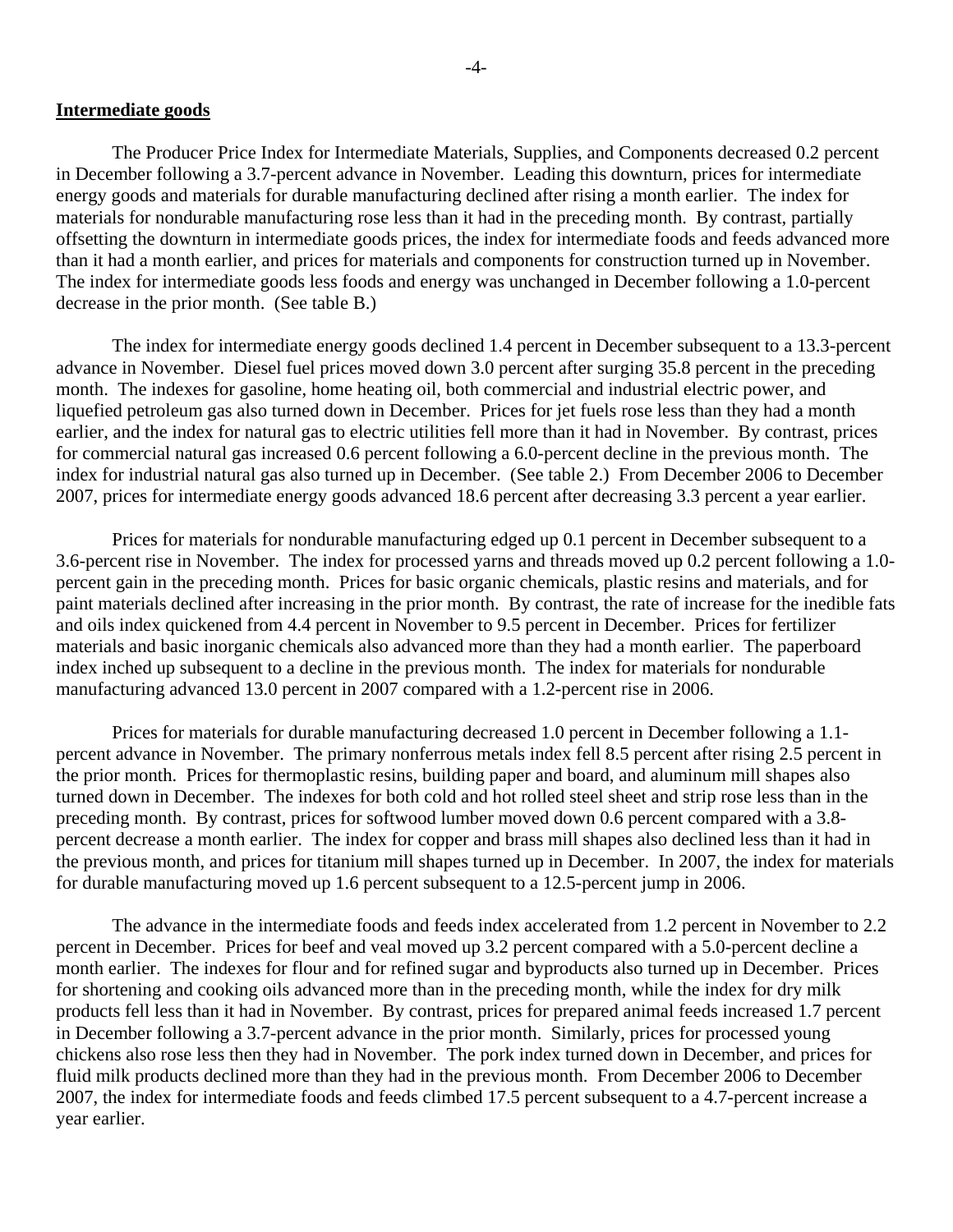### **Intermediate goods**

 The Producer Price Index for Intermediate Materials, Supplies, and Components decreased 0.2 percent in December following a 3.7-percent advance in November. Leading this downturn, prices for intermediate energy goods and materials for durable manufacturing declined after rising a month earlier. The index for materials for nondurable manufacturing rose less than it had in the preceding month. By contrast, partially offsetting the downturn in intermediate goods prices, the index for intermediate foods and feeds advanced more than it had a month earlier, and prices for materials and components for construction turned up in November. The index for intermediate goods less foods and energy was unchanged in December following a 1.0-percent decrease in the prior month. (See table B.)

The index for intermediate energy goods declined 1.4 percent in December subsequent to a 13.3-percent advance in November. Diesel fuel prices moved down 3.0 percent after surging 35.8 percent in the preceding month. The indexes for gasoline, home heating oil, both commercial and industrial electric power, and liquefied petroleum gas also turned down in December. Prices for jet fuels rose less than they had a month earlier, and the index for natural gas to electric utilities fell more than it had in November. By contrast, prices for commercial natural gas increased 0.6 percent following a 6.0-percent decline in the previous month. The index for industrial natural gas also turned up in December. (See table 2.) From December 2006 to December 2007, prices for intermediate energy goods advanced 18.6 percent after decreasing 3.3 percent a year earlier.

Prices for materials for nondurable manufacturing edged up 0.1 percent in December subsequent to a 3.6-percent rise in November. The index for processed yarns and threads moved up 0.2 percent following a 1.0 percent gain in the preceding month. Prices for basic organic chemicals, plastic resins and materials, and for paint materials declined after increasing in the prior month. By contrast, the rate of increase for the inedible fats and oils index quickened from 4.4 percent in November to 9.5 percent in December. Prices for fertilizer materials and basic inorganic chemicals also advanced more than they had a month earlier. The paperboard index inched up subsequent to a decline in the previous month. The index for materials for nondurable manufacturing advanced 13.0 percent in 2007 compared with a 1.2-percent rise in 2006.

Prices for materials for durable manufacturing decreased 1.0 percent in December following a 1.1 percent advance in November. The primary nonferrous metals index fell 8.5 percent after rising 2.5 percent in the prior month. Prices for thermoplastic resins, building paper and board, and aluminum mill shapes also turned down in December. The indexes for both cold and hot rolled steel sheet and strip rose less than in the preceding month. By contrast, prices for softwood lumber moved down 0.6 percent compared with a 3.8 percent decrease a month earlier. The index for copper and brass mill shapes also declined less than it had in the previous month, and prices for titanium mill shapes turned up in December. In 2007, the index for materials for durable manufacturing moved up 1.6 percent subsequent to a 12.5-percent jump in 2006.

The advance in the intermediate foods and feeds index accelerated from 1.2 percent in November to 2.2 percent in December. Prices for beef and veal moved up 3.2 percent compared with a 5.0-percent decline a month earlier. The indexes for flour and for refined sugar and byproducts also turned up in December. Prices for shortening and cooking oils advanced more than in the preceding month, while the index for dry milk products fell less than it had in November. By contrast, prices for prepared animal feeds increased 1.7 percent in December following a 3.7-percent advance in the prior month. Similarly, prices for processed young chickens also rose less then they had in November. The pork index turned down in December, and prices for fluid milk products declined more than they had in the previous month. From December 2006 to December 2007, the index for intermediate foods and feeds climbed 17.5 percent subsequent to a 4.7-percent increase a year earlier.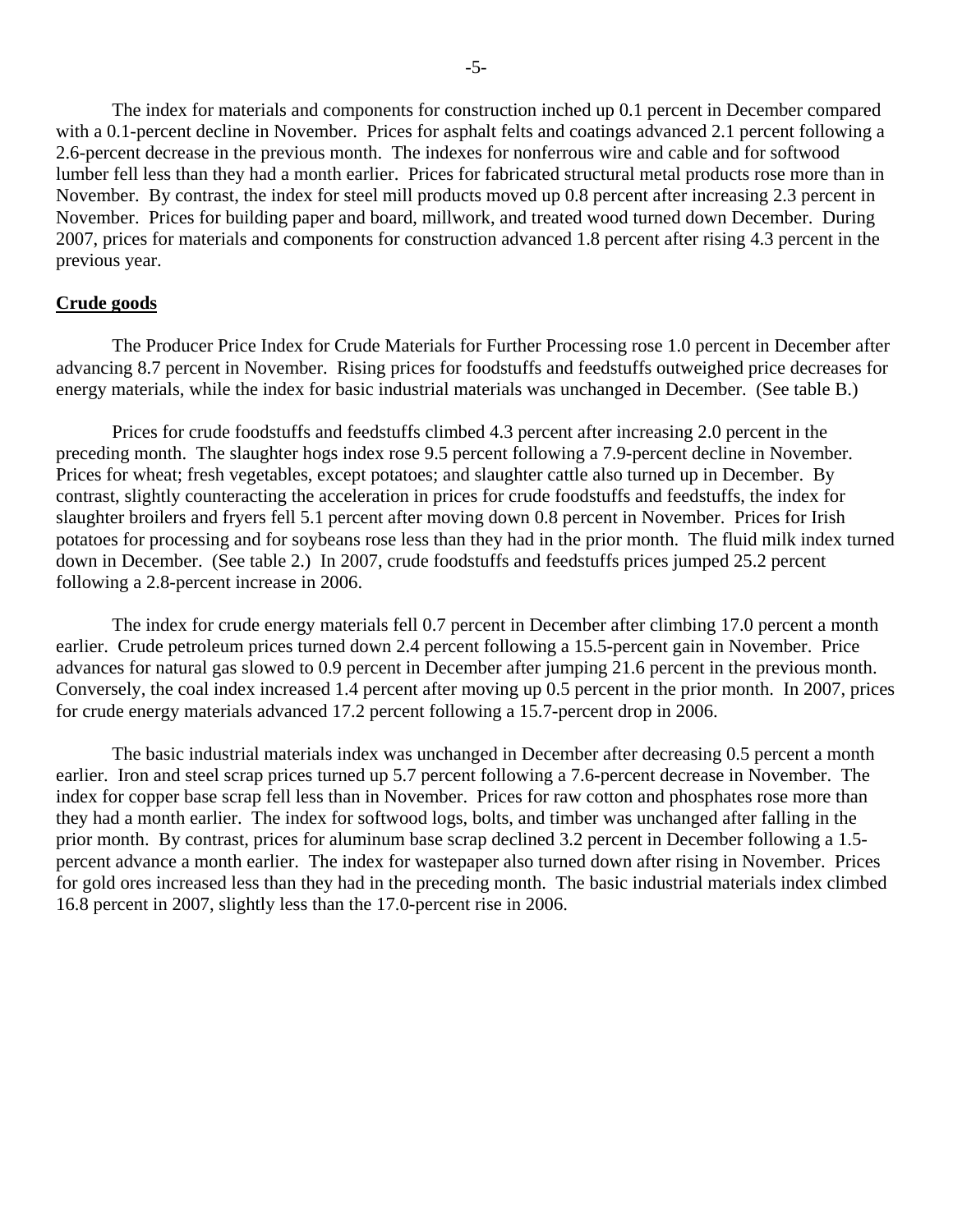The index for materials and components for construction inched up 0.1 percent in December compared with a 0.1-percent decline in November. Prices for asphalt felts and coatings advanced 2.1 percent following a 2.6-percent decrease in the previous month. The indexes for nonferrous wire and cable and for softwood lumber fell less than they had a month earlier. Prices for fabricated structural metal products rose more than in November. By contrast, the index for steel mill products moved up 0.8 percent after increasing 2.3 percent in November. Prices for building paper and board, millwork, and treated wood turned down December. During 2007, prices for materials and components for construction advanced 1.8 percent after rising 4.3 percent in the previous year.

### **Crude goods**

 The Producer Price Index for Crude Materials for Further Processing rose 1.0 percent in December after advancing 8.7 percent in November. Rising prices for foodstuffs and feedstuffs outweighed price decreases for energy materials, while the index for basic industrial materials was unchanged in December. (See table B.)

 Prices for crude foodstuffs and feedstuffs climbed 4.3 percent after increasing 2.0 percent in the preceding month. The slaughter hogs index rose 9.5 percent following a 7.9-percent decline in November. Prices for wheat; fresh vegetables, except potatoes; and slaughter cattle also turned up in December. By contrast, slightly counteracting the acceleration in prices for crude foodstuffs and feedstuffs, the index for slaughter broilers and fryers fell 5.1 percent after moving down 0.8 percent in November. Prices for Irish potatoes for processing and for soybeans rose less than they had in the prior month. The fluid milk index turned down in December. (See table 2.) In 2007, crude foodstuffs and feedstuffs prices jumped 25.2 percent following a 2.8-percent increase in 2006.

The index for crude energy materials fell 0.7 percent in December after climbing 17.0 percent a month earlier. Crude petroleum prices turned down 2.4 percent following a 15.5-percent gain in November. Price advances for natural gas slowed to 0.9 percent in December after jumping 21.6 percent in the previous month. Conversely, the coal index increased 1.4 percent after moving up 0.5 percent in the prior month. In 2007, prices for crude energy materials advanced 17.2 percent following a 15.7-percent drop in 2006.

 The basic industrial materials index was unchanged in December after decreasing 0.5 percent a month earlier. Iron and steel scrap prices turned up 5.7 percent following a 7.6-percent decrease in November. The index for copper base scrap fell less than in November. Prices for raw cotton and phosphates rose more than they had a month earlier. The index for softwood logs, bolts, and timber was unchanged after falling in the prior month. By contrast, prices for aluminum base scrap declined 3.2 percent in December following a 1.5 percent advance a month earlier. The index for wastepaper also turned down after rising in November. Prices for gold ores increased less than they had in the preceding month. The basic industrial materials index climbed 16.8 percent in 2007, slightly less than the 17.0-percent rise in 2006.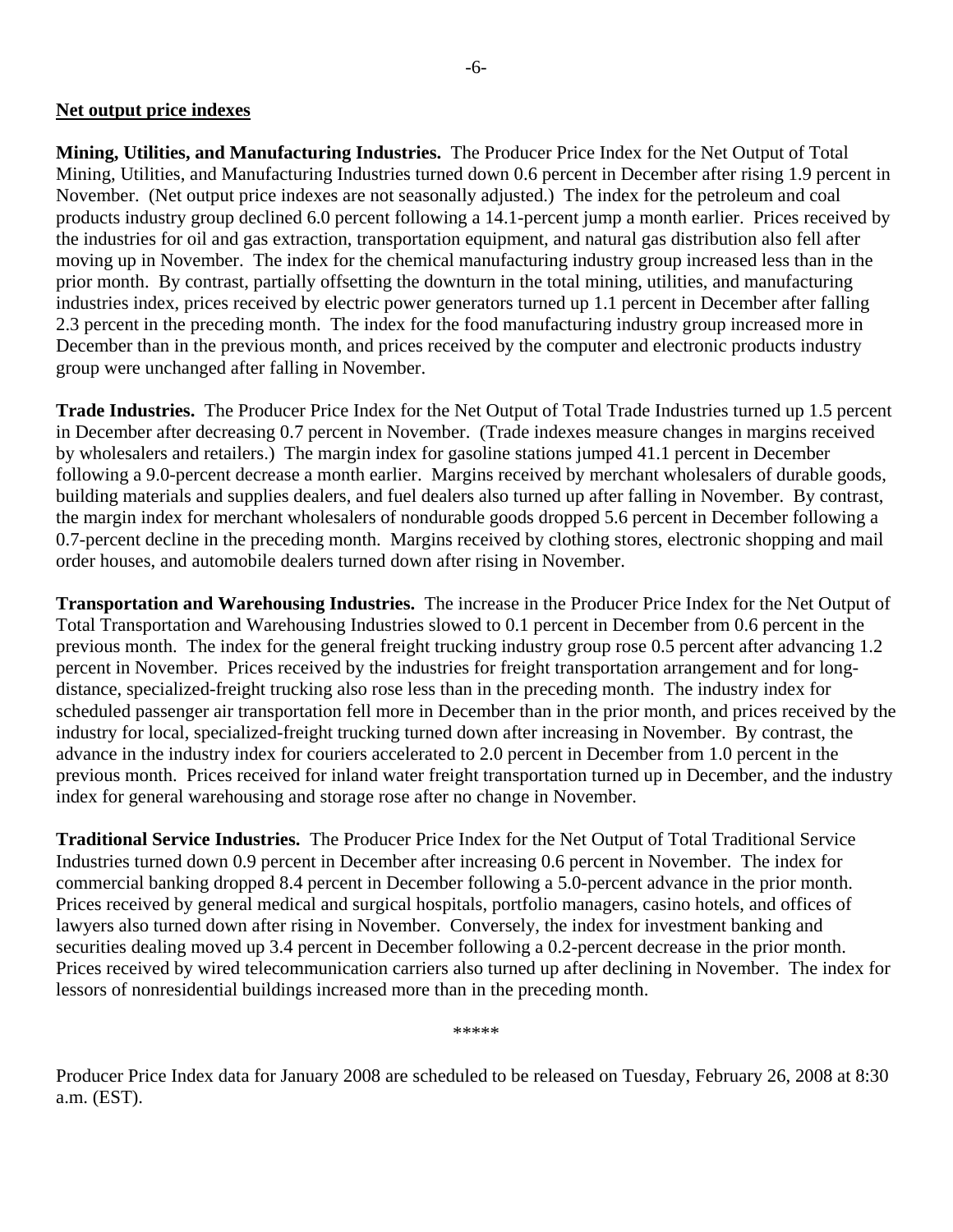### **Net output price indexes**

**Mining, Utilities, and Manufacturing Industries.** The Producer Price Index for the Net Output of Total Mining, Utilities, and Manufacturing Industries turned down 0.6 percent in December after rising 1.9 percent in November. (Net output price indexes are not seasonally adjusted.) The index for the petroleum and coal products industry group declined 6.0 percent following a 14.1-percent jump a month earlier. Prices received by the industries for oil and gas extraction, transportation equipment, and natural gas distribution also fell after moving up in November. The index for the chemical manufacturing industry group increased less than in the prior month. By contrast, partially offsetting the downturn in the total mining, utilities, and manufacturing industries index, prices received by electric power generators turned up 1.1 percent in December after falling 2.3 percent in the preceding month. The index for the food manufacturing industry group increased more in December than in the previous month, and prices received by the computer and electronic products industry group were unchanged after falling in November.

**Trade Industries.** The Producer Price Index for the Net Output of Total Trade Industries turned up 1.5 percent in December after decreasing 0.7 percent in November. (Trade indexes measure changes in margins received by wholesalers and retailers.) The margin index for gasoline stations jumped 41.1 percent in December following a 9.0-percent decrease a month earlier. Margins received by merchant wholesalers of durable goods, building materials and supplies dealers, and fuel dealers also turned up after falling in November. By contrast, the margin index for merchant wholesalers of nondurable goods dropped 5.6 percent in December following a 0.7-percent decline in the preceding month. Margins received by clothing stores, electronic shopping and mail order houses, and automobile dealers turned down after rising in November.

**Transportation and Warehousing Industries.** The increase in the Producer Price Index for the Net Output of Total Transportation and Warehousing Industries slowed to 0.1 percent in December from 0.6 percent in the previous month. The index for the general freight trucking industry group rose 0.5 percent after advancing 1.2 percent in November. Prices received by the industries for freight transportation arrangement and for longdistance, specialized-freight trucking also rose less than in the preceding month. The industry index for scheduled passenger air transportation fell more in December than in the prior month, and prices received by the industry for local, specialized-freight trucking turned down after increasing in November. By contrast, the advance in the industry index for couriers accelerated to 2.0 percent in December from 1.0 percent in the previous month. Prices received for inland water freight transportation turned up in December, and the industry index for general warehousing and storage rose after no change in November.

**Traditional Service Industries.** The Producer Price Index for the Net Output of Total Traditional Service Industries turned down 0.9 percent in December after increasing 0.6 percent in November. The index for commercial banking dropped 8.4 percent in December following a 5.0-percent advance in the prior month. Prices received by general medical and surgical hospitals, portfolio managers, casino hotels, and offices of lawyers also turned down after rising in November. Conversely, the index for investment banking and securities dealing moved up 3.4 percent in December following a 0.2-percent decrease in the prior month. Prices received by wired telecommunication carriers also turned up after declining in November. The index for lessors of nonresidential buildings increased more than in the preceding month.

\*\*\*\*\*

Producer Price Index data for January 2008 are scheduled to be released on Tuesday, February 26, 2008 at 8:30 a.m. (EST).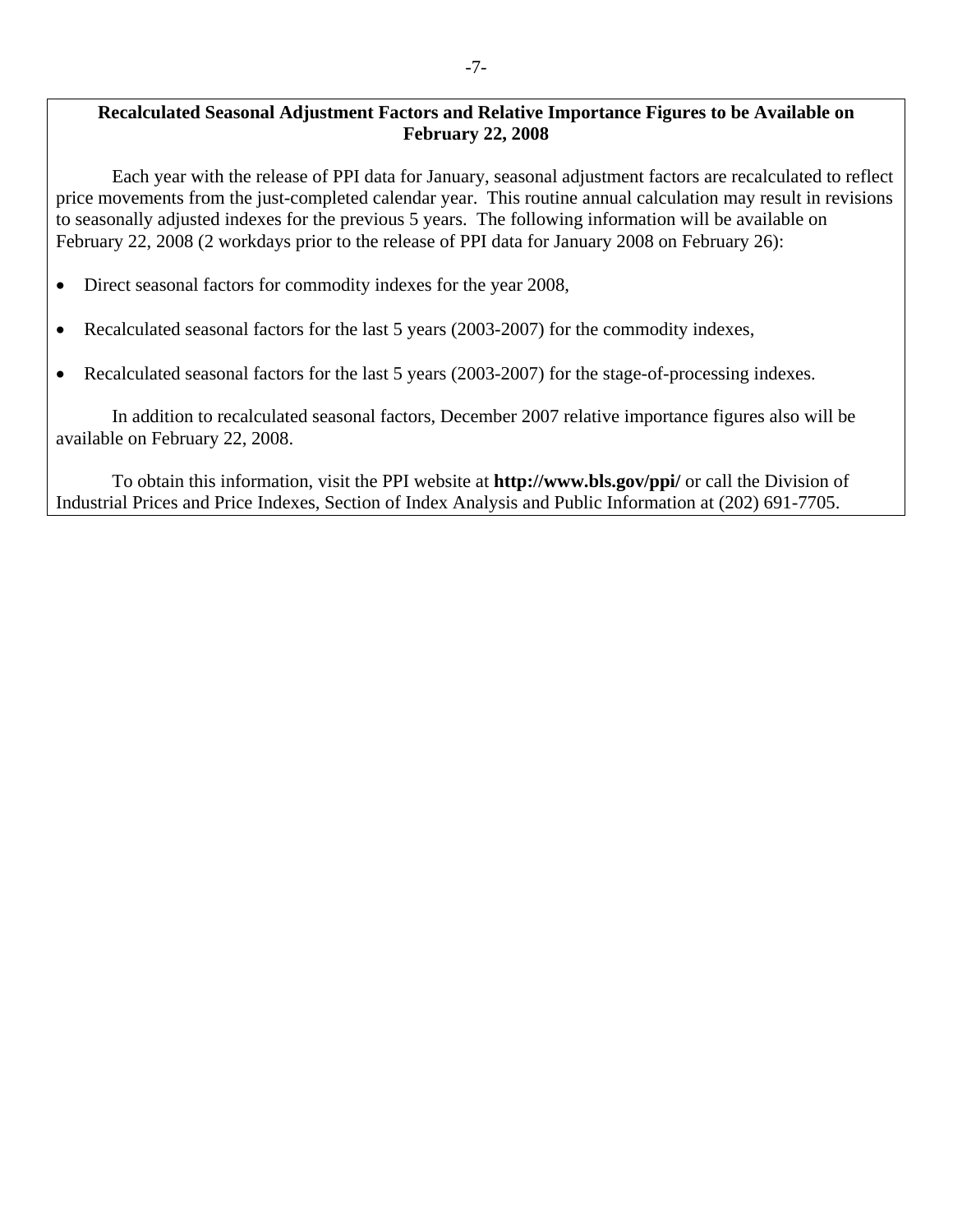### **Recalculated Seasonal Adjustment Factors and Relative Importance Figures to be Available on February 22, 2008**

Each year with the release of PPI data for January, seasonal adjustment factors are recalculated to reflect price movements from the just-completed calendar year. This routine annual calculation may result in revisions to seasonally adjusted indexes for the previous 5 years. The following information will be available on February 22, 2008 (2 workdays prior to the release of PPI data for January 2008 on February 26):

- Direct seasonal factors for commodity indexes for the year 2008,
- Recalculated seasonal factors for the last 5 years (2003-2007) for the commodity indexes,
- Recalculated seasonal factors for the last 5 years (2003-2007) for the stage-of-processing indexes.

In addition to recalculated seasonal factors, December 2007 relative importance figures also will be available on February 22, 2008.

To obtain this information, visit the PPI website at **http://www.bls.gov/ppi/** or call the Division of Industrial Prices and Price Indexes, Section of Index Analysis and Public Information at (202) 691-7705.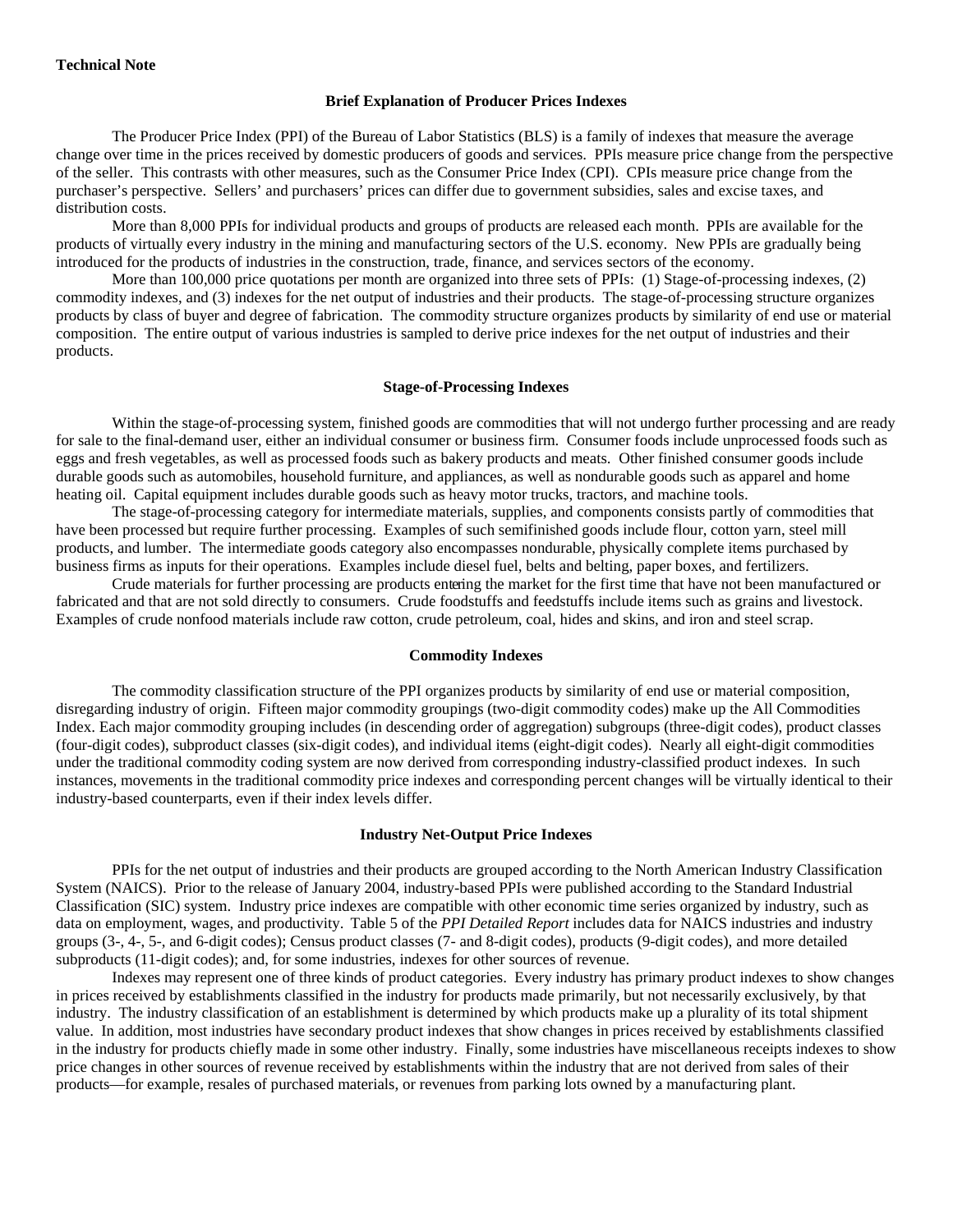#### **Technical Note**

#### **Brief Explanation of Producer Prices Indexes**

The Producer Price Index (PPI) of the Bureau of Labor Statistics (BLS) is a family of indexes that measure the average change over time in the prices received by domestic producers of goods and services. PPIs measure price change from the perspective of the seller. This contrasts with other measures, such as the Consumer Price Index (CPI). CPIs measure price change from the purchaser's perspective. Sellers' and purchasers' prices can differ due to government subsidies, sales and excise taxes, and distribution costs.

 More than 8,000 PPIs for individual products and groups of products are released each month. PPIs are available for the products of virtually every industry in the mining and manufacturing sectors of the U.S. economy. New PPIs are gradually being introduced for the products of industries in the construction, trade, finance, and services sectors of the economy.

More than 100,000 price quotations per month are organized into three sets of PPIs: (1) Stage-of-processing indexes, (2) commodity indexes, and (3) indexes for the net output of industries and their products. The stage-of-processing structure organizes products by class of buyer and degree of fabrication. The commodity structure organizes products by similarity of end use or material composition. The entire output of various industries is sampled to derive price indexes for the net output of industries and their products.

#### **Stage-of-Processing Indexes**

Within the stage-of-processing system, finished goods are commodities that will not undergo further processing and are ready for sale to the final-demand user, either an individual consumer or business firm. Consumer foods include unprocessed foods such as eggs and fresh vegetables, as well as processed foods such as bakery products and meats. Other finished consumer goods include durable goods such as automobiles, household furniture, and appliances, as well as nondurable goods such as apparel and home heating oil. Capital equipment includes durable goods such as heavy motor trucks, tractors, and machine tools.

 The stage-of-processing category for intermediate materials, supplies, and components consists partly of commodities that have been processed but require further processing. Examples of such semifinished goods include flour, cotton yarn, steel mill products, and lumber. The intermediate goods category also encompasses nondurable, physically complete items purchased by business firms as inputs for their operations. Examples include diesel fuel, belts and belting, paper boxes, and fertilizers.

Crude materials for further processing are products entering the market for the first time that have not been manufactured or fabricated and that are not sold directly to consumers. Crude foodstuffs and feedstuffs include items such as grains and livestock. Examples of crude nonfood materials include raw cotton, crude petroleum, coal, hides and skins, and iron and steel scrap.

#### **Commodity Indexes**

The commodity classification structure of the PPI organizes products by similarity of end use or material composition, disregarding industry of origin. Fifteen major commodity groupings (two-digit commodity codes) make up the All Commodities Index. Each major commodity grouping includes (in descending order of aggregation) subgroups (three-digit codes), product classes (four-digit codes), subproduct classes (six-digit codes), and individual items (eight-digit codes). Nearly all eight-digit commodities under the traditional commodity coding system are now derived from corresponding industry-classified product indexes. In such instances, movements in the traditional commodity price indexes and corresponding percent changes will be virtually identical to their industry-based counterparts, even if their index levels differ.

#### **Industry Net-Output Price Indexes**

PPIs for the net output of industries and their products are grouped according to the North American Industry Classification System (NAICS). Prior to the release of January 2004, industry-based PPIs were published according to the Standard Industrial Classification (SIC) system. Industry price indexes are compatible with other economic time series organized by industry, such as data on employment, wages, and productivity. Table 5 of the *PPI Detailed Report* includes data for NAICS industries and industry groups (3-, 4-, 5-, and 6-digit codes); Census product classes (7- and 8-digit codes), products (9-digit codes), and more detailed subproducts (11-digit codes); and, for some industries, indexes for other sources of revenue.

 Indexes may represent one of three kinds of product categories. Every industry has primary product indexes to show changes in prices received by establishments classified in the industry for products made primarily, but not necessarily exclusively, by that industry. The industry classification of an establishment is determined by which products make up a plurality of its total shipment value. In addition, most industries have secondary product indexes that show changes in prices received by establishments classified in the industry for products chiefly made in some other industry. Finally, some industries have miscellaneous receipts indexes to show price changes in other sources of revenue received by establishments within the industry that are not derived from sales of their products—for example, resales of purchased materials, or revenues from parking lots owned by a manufacturing plant.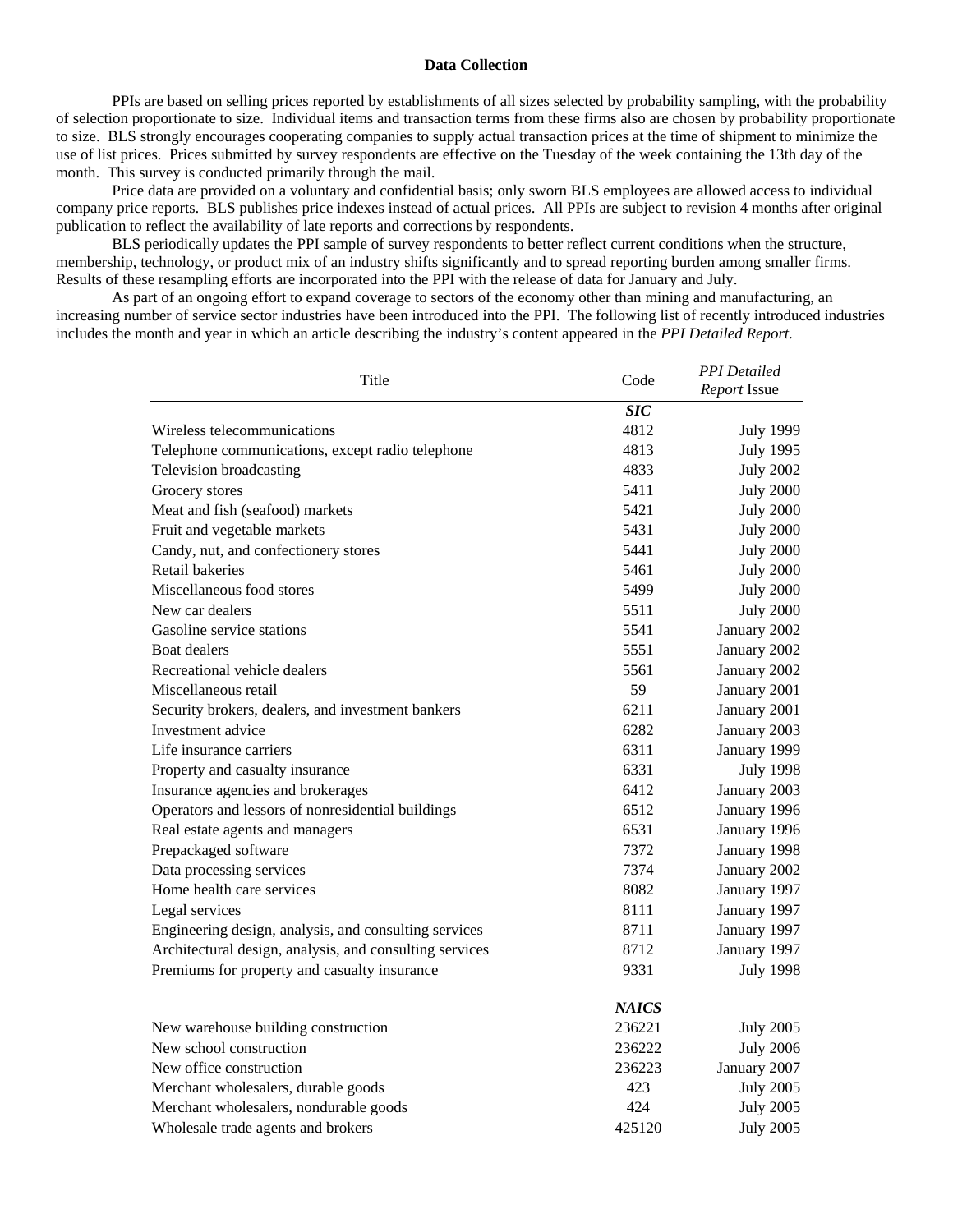#### **Data Collection**

PPIs are based on selling prices reported by establishments of all sizes selected by probability sampling, with the probability of selection proportionate to size. Individual items and transaction terms from these firms also are chosen by probability proportionate to size. BLS strongly encourages cooperating companies to supply actual transaction prices at the time of shipment to minimize the use of list prices. Prices submitted by survey respondents are effective on the Tuesday of the week containing the 13th day of the month. This survey is conducted primarily through the mail.

 Price data are provided on a voluntary and confidential basis; only sworn BLS employees are allowed access to individual company price reports. BLS publishes price indexes instead of actual prices. All PPIs are subject to revision 4 months after original publication to reflect the availability of late reports and corrections by respondents.

 BLS periodically updates the PPI sample of survey respondents to better reflect current conditions when the structure, membership, technology, or product mix of an industry shifts significantly and to spread reporting burden among smaller firms. Results of these resampling efforts are incorporated into the PPI with the release of data for January and July.

 As part of an ongoing effort to expand coverage to sectors of the economy other than mining and manufacturing, an increasing number of service sector industries have been introduced into the PPI. The following list of recently introduced industries includes the month and year in which an article describing the industry's content appeared in the *PPI Detailed Report*.

| Title                                                   | Code             | <b>PPI</b> Detailed<br>Report Issue |  |
|---------------------------------------------------------|------------------|-------------------------------------|--|
|                                                         | $\overline{SIC}$ |                                     |  |
| Wireless telecommunications                             | 4812             | <b>July 1999</b>                    |  |
| Telephone communications, except radio telephone        | 4813             | <b>July 1995</b>                    |  |
| Television broadcasting                                 | 4833             | <b>July 2002</b>                    |  |
| Grocery stores                                          | 5411             | <b>July 2000</b>                    |  |
| Meat and fish (seafood) markets                         | 5421             | <b>July 2000</b>                    |  |
| Fruit and vegetable markets                             | 5431             | <b>July 2000</b>                    |  |
| Candy, nut, and confectionery stores                    | 5441             | <b>July 2000</b>                    |  |
| Retail bakeries                                         | 5461             | <b>July 2000</b>                    |  |
| Miscellaneous food stores                               | 5499             | <b>July 2000</b>                    |  |
| New car dealers                                         | 5511             | <b>July 2000</b>                    |  |
| Gasoline service stations                               | 5541             | January 2002                        |  |
| <b>Boat dealers</b>                                     | 5551             | January 2002                        |  |
| Recreational vehicle dealers                            | 5561             | January 2002                        |  |
| Miscellaneous retail                                    | 59               | January 2001                        |  |
| Security brokers, dealers, and investment bankers       | 6211             | January 2001                        |  |
| Investment advice                                       | 6282             | January 2003                        |  |
| Life insurance carriers                                 | 6311             | January 1999                        |  |
| Property and casualty insurance                         | 6331             | <b>July 1998</b>                    |  |
| Insurance agencies and brokerages                       | 6412             | January 2003                        |  |
| Operators and lessors of nonresidential buildings       | 6512             | January 1996                        |  |
| Real estate agents and managers                         | 6531             | January 1996                        |  |
| Prepackaged software                                    | 7372             | January 1998                        |  |
| Data processing services                                | 7374             | January 2002                        |  |
| Home health care services                               | 8082             | January 1997                        |  |
| Legal services                                          | 8111             | January 1997                        |  |
| Engineering design, analysis, and consulting services   | 8711             | January 1997                        |  |
| Architectural design, analysis, and consulting services | 8712             | January 1997                        |  |
| Premiums for property and casualty insurance            | 9331             | <b>July 1998</b>                    |  |
|                                                         | <b>NAICS</b>     |                                     |  |
| New warehouse building construction                     | 236221           | <b>July 2005</b>                    |  |
| New school construction                                 | 236222           | <b>July 2006</b>                    |  |
| New office construction                                 | 236223           | January 2007                        |  |
| Merchant wholesalers, durable goods                     | 423              | <b>July 2005</b>                    |  |
| Merchant wholesalers, nondurable goods                  | 424              | <b>July 2005</b>                    |  |
| Wholesale trade agents and brokers                      | 425120           | <b>July 2005</b>                    |  |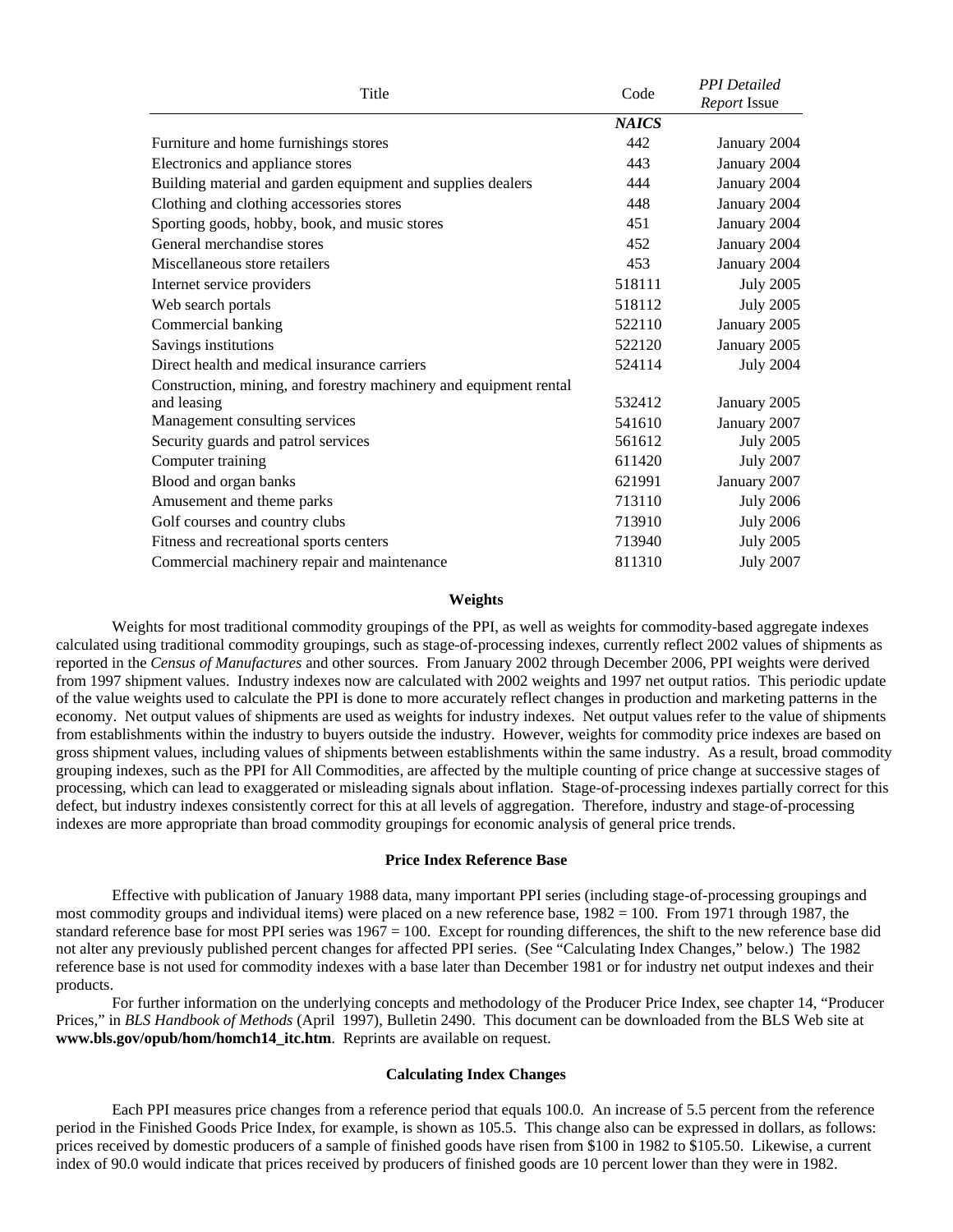| Title                                                             | Code         | <b>PPI</b> Detailed<br>Report Issue |
|-------------------------------------------------------------------|--------------|-------------------------------------|
|                                                                   | <b>NAICS</b> |                                     |
| Furniture and home furnishings stores                             | 442          | January 2004                        |
| Electronics and appliance stores                                  | 443          | January 2004                        |
| Building material and garden equipment and supplies dealers       | 444          | January 2004                        |
| Clothing and clothing accessories stores                          | 448          | January 2004                        |
| Sporting goods, hobby, book, and music stores                     | 451          | January 2004                        |
| General merchandise stores                                        | 452          | January 2004                        |
| Miscellaneous store retailers                                     | 453          | January 2004                        |
| Internet service providers                                        | 518111       | <b>July 2005</b>                    |
| Web search portals                                                | 518112       | <b>July 2005</b>                    |
| Commercial banking                                                | 522110       | January 2005                        |
| Savings institutions                                              | 522120       | January 2005                        |
| Direct health and medical insurance carriers                      | 524114       | <b>July 2004</b>                    |
| Construction, mining, and forestry machinery and equipment rental |              |                                     |
| and leasing                                                       | 532412       | January 2005                        |
| Management consulting services                                    | 541610       | January 2007                        |
| Security guards and patrol services                               | 561612       | <b>July 2005</b>                    |
| Computer training                                                 | 611420       | <b>July 2007</b>                    |
| Blood and organ banks                                             | 621991       | January 2007                        |
| Amusement and theme parks                                         | 713110       | <b>July 2006</b>                    |
| Golf courses and country clubs                                    | 713910       | <b>July 2006</b>                    |
| Fitness and recreational sports centers                           | 713940       | <b>July 2005</b>                    |
| Commercial machinery repair and maintenance                       | 811310       | <b>July 2007</b>                    |

#### **Weights**

Weights for most traditional commodity groupings of the PPI, as well as weights for commodity-based aggregate indexes calculated using traditional commodity groupings, such as stage-of-processing indexes, currently reflect 2002 values of shipments as reported in the *Census of Manufactures* and other sources. From January 2002 through December 2006, PPI weights were derived from 1997 shipment values. Industry indexes now are calculated with 2002 weights and 1997 net output ratios. This periodic update of the value weights used to calculate the PPI is done to more accurately reflect changes in production and marketing patterns in the economy. Net output values of shipments are used as weights for industry indexes. Net output values refer to the value of shipments from establishments within the industry to buyers outside the industry. However, weights for commodity price indexes are based on gross shipment values, including values of shipments between establishments within the same industry. As a result, broad commodity grouping indexes, such as the PPI for All Commodities, are affected by the multiple counting of price change at successive stages of processing, which can lead to exaggerated or misleading signals about inflation. Stage-of-processing indexes partially correct for this defect, but industry indexes consistently correct for this at all levels of aggregation. Therefore, industry and stage-of-processing indexes are more appropriate than broad commodity groupings for economic analysis of general price trends.

#### **Price Index Reference Base**

Effective with publication of January 1988 data, many important PPI series (including stage-of-processing groupings and most commodity groups and individual items) were placed on a new reference base, 1982 = 100. From 1971 through 1987, the standard reference base for most PPI series was  $1967 = 100$ . Except for rounding differences, the shift to the new reference base did not alter any previously published percent changes for affected PPI series. (See "Calculating Index Changes," below.) The 1982 reference base is not used for commodity indexes with a base later than December 1981 or for industry net output indexes and their products.

 For further information on the underlying concepts and methodology of the Producer Price Index, see chapter 14, "Producer Prices," in *BLS Handbook of Methods* (April 1997), Bulletin 2490. This document can be downloaded from the BLS Web site at **www.bls.gov/opub/hom/homch14\_itc.htm**. Reprints are available on request.

#### **Calculating Index Changes**

Each PPI measures price changes from a reference period that equals 100.0. An increase of 5.5 percent from the reference period in the Finished Goods Price Index, for example, is shown as 105.5. This change also can be expressed in dollars, as follows: prices received by domestic producers of a sample of finished goods have risen from \$100 in 1982 to \$105.50. Likewise, a current index of 90.0 would indicate that prices received by producers of finished goods are 10 percent lower than they were in 1982.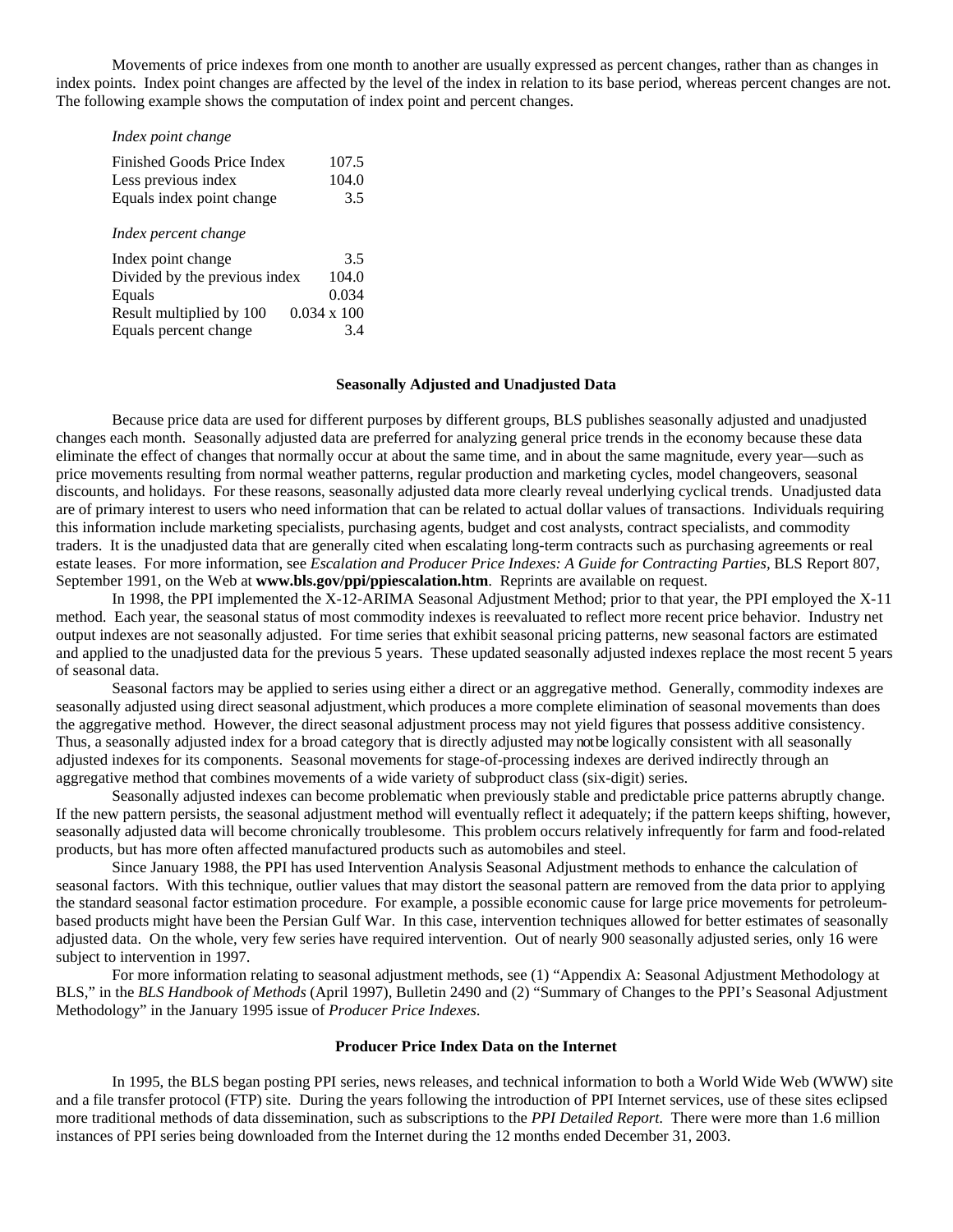Movements of price indexes from one month to another are usually expressed as percent changes, rather than as changes in index points. Index point changes are affected by the level of the index in relation to its base period, whereas percent changes are not. The following example shows the computation of index point and percent changes.

| Index point change            |                    |
|-------------------------------|--------------------|
| Finished Goods Price Index    | 107.5              |
| Less previous index           | 104.0              |
| Equals index point change     | 3.5                |
| Index percent change          |                    |
| Index point change            | 3.5                |
| Divided by the previous index | 104.0              |
| Equals                        | 0.034              |
| Result multiplied by 100      | $0.034 \times 100$ |
| Equals percent change         | 3.4                |

#### **Seasonally Adjusted and Unadjusted Data**

Because price data are used for different purposes by different groups, BLS publishes seasonally adjusted and unadjusted changes each month. Seasonally adjusted data are preferred for analyzing general price trends in the economy because these data eliminate the effect of changes that normally occur at about the same time, and in about the same magnitude, every year—such as price movements resulting from normal weather patterns, regular production and marketing cycles, model changeovers, seasonal discounts, and holidays. For these reasons, seasonally adjusted data more clearly reveal underlying cyclical trends. Unadjusted data are of primary interest to users who need information that can be related to actual dollar values of transactions. Individuals requiring this information include marketing specialists, purchasing agents, budget and cost analysts, contract specialists, and commodity traders. It is the unadjusted data that are generally cited when escalating long-term contracts such as purchasing agreements or real estate leases.For more information, see *Escalation and Producer Price Indexes: A Guide for Contracting Parties,* BLS Report 807, September 1991, on the Web at **www.bls.gov/ppi/ppiescalation.htm**. Reprints are available on request.

In 1998, the PPI implemented the X-12-ARIMA Seasonal Adjustment Method; prior to that year, the PPI employed the X-11 method. Each year, the seasonal status of most commodity indexes is reevaluated to reflect more recent price behavior. Industry net output indexes are not seasonally adjusted. For time series that exhibit seasonal pricing patterns, new seasonal factors are estimated and applied to the unadjusted data for the previous 5 years. These updated seasonally adjusted indexes replace the most recent 5 years of seasonal data.

 Seasonal factors may be applied to series using either a direct or an aggregative method. Generally, commodity indexes are seasonally adjusted using direct seasonal adjustment, which produces a more complete elimination of seasonal movements than does the aggregative method. However, the direct seasonal adjustment process may not yield figures that possess additive consistency. Thus, a seasonally adjusted index for a broad category that is directly adjusted may not be logically consistent with all seasonally adjusted indexes for its components. Seasonal movements for stage-of-processing indexes are derived indirectly through an aggregative method that combines movements of a wide variety of subproduct class (six-digit) series.

Seasonally adjusted indexes can become problematic when previously stable and predictable price patterns abruptly change. If the new pattern persists, the seasonal adjustment method will eventually reflect it adequately; if the pattern keeps shifting, however, seasonally adjusted data will become chronically troublesome. This problem occurs relatively infrequently for farm and food-related products, but has more often affected manufactured products such as automobiles and steel.

Since January 1988, the PPI has used Intervention Analysis Seasonal Adjustment methods to enhance the calculation of seasonal factors. With this technique, outlier values that may distort the seasonal pattern are removed from the data prior to applying the standard seasonal factor estimation procedure. For example, a possible economic cause for large price movements for petroleumbased products might have been the Persian Gulf War. In this case, intervention techniques allowed for better estimates of seasonally adjusted data. On the whole, very few series have required intervention. Out of nearly 900 seasonally adjusted series, only 16 were subject to intervention in 1997.

For more information relating to seasonal adjustment methods, see (1) "Appendix A: Seasonal Adjustment Methodology at BLS," in the *BLS Handbook of Methods* (April 1997), Bulletin 2490 and (2) "Summary of Changes to the PPI's Seasonal Adjustment Methodology" in the January 1995 issue of *Producer Price Indexes*.

#### **Producer Price Index Data on the Internet**

In 1995, the BLS began posting PPI series, news releases, and technical information to both a World Wide Web (WWW) site and a file transfer protocol (FTP) site. During the years following the introduction of PPI Internet services, use of these sites eclipsed more traditional methods of data dissemination, such as subscriptions to the *PPI Detailed Report*. There were more than 1.6 million instances of PPI series being downloaded from the Internet during the 12 months ended December 31, 2003.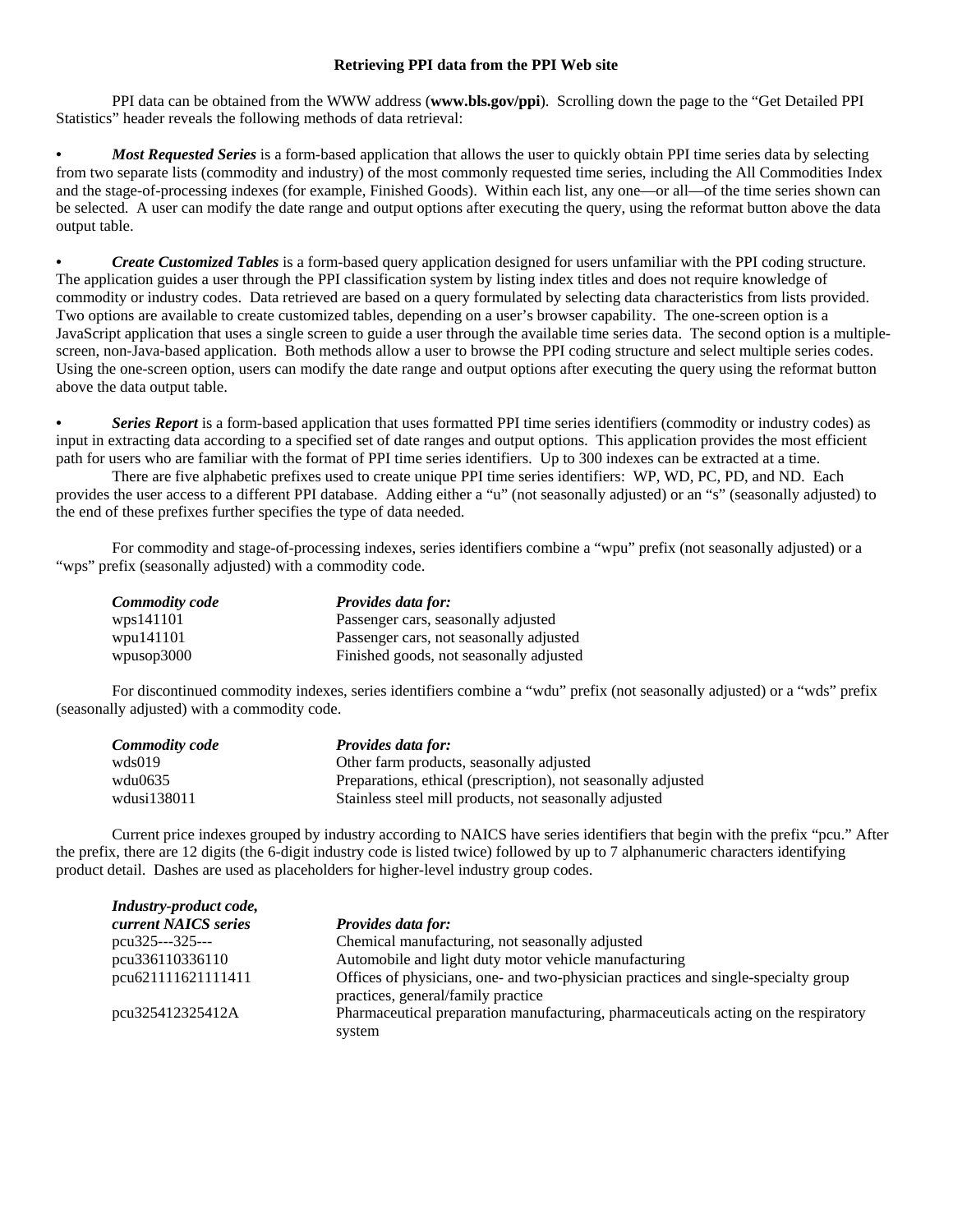#### **Retrieving PPI data from the PPI Web site**

PPI data can be obtained from the WWW address (**www.bls.gov/ppi**). Scrolling down the page to the "Get Detailed PPI Statistics" header reveals the following methods of data retrieval:

*• Most Requested Series* is a form-based application that allows the user to quickly obtain PPI time series data by selecting from two separate lists (commodity and industry) of the most commonly requested time series, including the All Commodities Index and the stage-of-processing indexes (for example, Finished Goods). Within each list, any one—or all—of the time series shown can be selected. A user can modify the date range and output options after executing the query, using the reformat button above the data output table.

*• Create Customized Tables* is a form-based query application designed for users unfamiliar with the PPI coding structure. The application guides a user through the PPI classification system by listing index titles and does not require knowledge of commodity or industry codes. Data retrieved are based on a query formulated by selecting data characteristics from lists provided. Two options are available to create customized tables, depending on a user's browser capability. The one-screen option is a JavaScript application that uses a single screen to guide a user through the available time series data. The second option is a multiplescreen, non-Java-based application. Both methods allow a user to browse the PPI coding structure and select multiple series codes. Using the one-screen option, users can modify the date range and output options after executing the query using the reformat button above the data output table.

*• Series Report* is a form-based application that uses formatted PPI time series identifiers (commodity or industry codes) as input in extracting data according to a specified set of date ranges and output options. This application provides the most efficient path for users who are familiar with the format of PPI time series identifiers. Up to 300 indexes can be extracted at a time.

 There are five alphabetic prefixes used to create unique PPI time series identifiers: WP, WD, PC, PD, and ND. Each provides the user access to a different PPI database. Adding either a "u" (not seasonally adjusted) or an "s" (seasonally adjusted) to the end of these prefixes further specifies the type of data needed.

 For commodity and stage-of-processing indexes, series identifiers combine a "wpu" prefix (not seasonally adjusted) or a "wps" prefix (seasonally adjusted) with a commodity code.

| <b>Commodity code</b> | <b>Provides data for:</b>               |
|-----------------------|-----------------------------------------|
| wps141101             | Passenger cars, seasonally adjusted     |
| wpu141101             | Passenger cars, not seasonally adjusted |
| wpusop3000            | Finished goods, not seasonally adjusted |

 For discontinued commodity indexes, series identifiers combine a "wdu" prefix (not seasonally adjusted) or a "wds" prefix (seasonally adjusted) with a commodity code.

| Commodity code | <b>Provides data for:</b>                                     |
|----------------|---------------------------------------------------------------|
| wds019         | Other farm products, seasonally adjusted                      |
| wdu0635        | Preparations, ethical (prescription), not seasonally adjusted |
| wdusi138011    | Stainless steel mill products, not seasonally adjusted        |

 Current price indexes grouped by industry according to NAICS have series identifiers that begin with the prefix "pcu." After the prefix, there are 12 digits (the 6-digit industry code is listed twice) followed by up to 7 alphanumeric characters identifying product detail. Dashes are used as placeholders for higher-level industry group codes.

| Industry-product code, |                                                                                     |
|------------------------|-------------------------------------------------------------------------------------|
| current NAICS series   | <b>Provides data for:</b>                                                           |
| $pcu325--325--$        | Chemical manufacturing, not seasonally adjusted                                     |
| pcu336110336110        | Automobile and light duty motor vehicle manufacturing                               |
| pcu621111621111411     | Offices of physicians, one- and two-physician practices and single-specialty group  |
|                        | practices, general/family practice                                                  |
| pcu325412325412A       | Pharmaceutical preparation manufacturing, pharmaceuticals acting on the respiratory |
|                        | system                                                                              |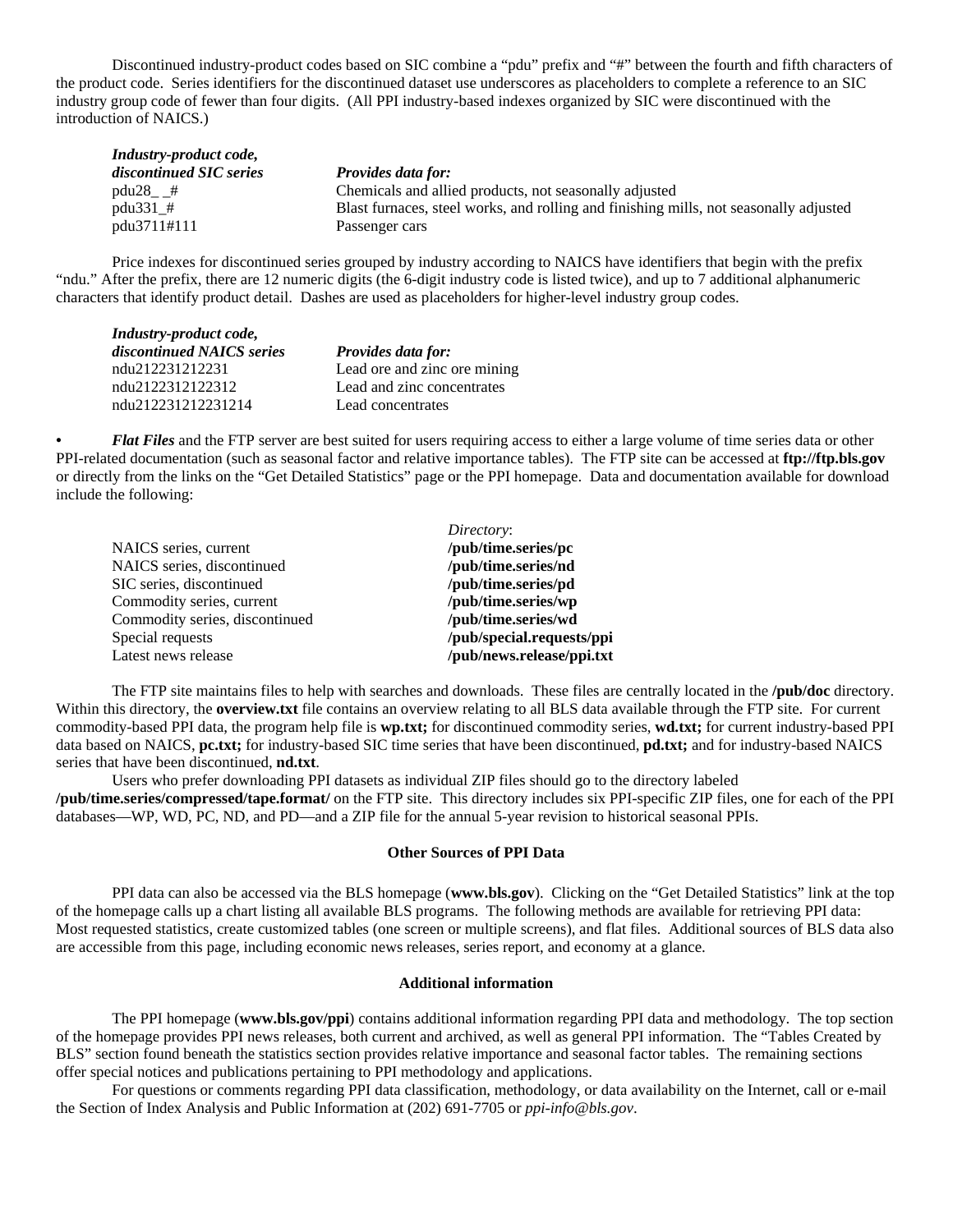Discontinued industry-product codes based on SIC combine a "pdu" prefix and "#" between the fourth and fifth characters of the product code. Series identifiers for the discontinued dataset use underscores as placeholders to complete a reference to an SIC industry group code of fewer than four digits. (All PPI industry-based indexes organized by SIC were discontinued with the introduction of NAICS.)

| Industry-product code,  |                                                                                       |
|-------------------------|---------------------------------------------------------------------------------------|
| discontinued SIC series | <b>Provides data for:</b>                                                             |
| $pdu28$ #               | Chemicals and allied products, not seasonally adjusted                                |
| pdu331 $#$              | Blast furnaces, steel works, and rolling and finishing mills, not seasonally adjusted |
| pdu3711#111             | Passenger cars                                                                        |

 Price indexes for discontinued series grouped by industry according to NAICS have identifiers that begin with the prefix "ndu." After the prefix, there are 12 numeric digits (the 6-digit industry code is listed twice), and up to 7 additional alphanumeric characters that identify product detail. Dashes are used as placeholders for higher-level industry group codes.

| Industry-product code,    |                              |  |  |
|---------------------------|------------------------------|--|--|
| discontinued NAICS series | <b>Provides data for:</b>    |  |  |
| ndu212231212231           | Lead ore and zinc ore mining |  |  |
| ndu2122312122312          | Lead and zinc concentrates   |  |  |
| ndu212231212231214        | Lead concentrates            |  |  |

*• Flat Files* and the FTP server are best suited for users requiring access to either a large volume of time series data or other PPI-related documentation (such as seasonal factor and relative importance tables). The FTP site can be accessed at **ftp://ftp.bls.gov** or directly from the links on the "Get Detailed Statistics" page or the PPI homepage. Data and documentation available for download include the following:

| Directory:                |
|---------------------------|
| /pub/time.series/pc       |
| /pub/time.series/nd       |
| /pub/time.series/pd       |
| /pub/time.series/wp       |
| /pub/time.series/wd       |
| /pub/special.requests/ppi |
| /pub/news.release/ppi.txt |
|                           |

The FTP site maintains files to help with searches and downloads. These files are centrally located in the **/pub/doc** directory. Within this directory, the **overview.txt** file contains an overview relating to all BLS data available through the FTP site. For current commodity-based PPI data, the program help file is **wp.txt;** for discontinued commodity series, **wd.txt;** for current industry-based PPI data based on NAICS, **pc.txt;** for industry-based SIC time series that have been discontinued, **pd.txt;** and for industry-based NAICS series that have been discontinued, **nd.txt**.

Users who prefer downloading PPI datasets as individual ZIP files should go to the directory labeled **/pub/time.series/compressed/tape.format/** on the FTP site. This directory includes six PPI-specific ZIP files, one for each of the PPI databases—WP, WD, PC, ND, and PD—and a ZIP file for the annual 5-year revision to historical seasonal PPIs.

#### **Other Sources of PPI Data**

PPI data can also be accessed via the BLS homepage (**www.bls.gov**). Clicking on the "Get Detailed Statistics" link at the top of the homepage calls up a chart listing all available BLS programs. The following methods are available for retrieving PPI data: Most requested statistics, create customized tables (one screen or multiple screens), and flat files. Additional sources of BLS data also are accessible from this page, including economic news releases, series report, and economy at a glance.

#### **Additional information**

The PPI homepage (**www.bls.gov/ppi**) contains additional information regarding PPI data and methodology. The top section of the homepage provides PPI news releases, both current and archived, as well as general PPI information. The "Tables Created by BLS" section found beneath the statistics section provides relative importance and seasonal factor tables. The remaining sections offer special notices and publications pertaining to PPI methodology and applications.

For questions or comments regarding PPI data classification, methodology, or data availability on the Internet, call or e-mail the Section of Index Analysis and Public Information at (202) 691-7705 or *ppi-info@bls.gov*.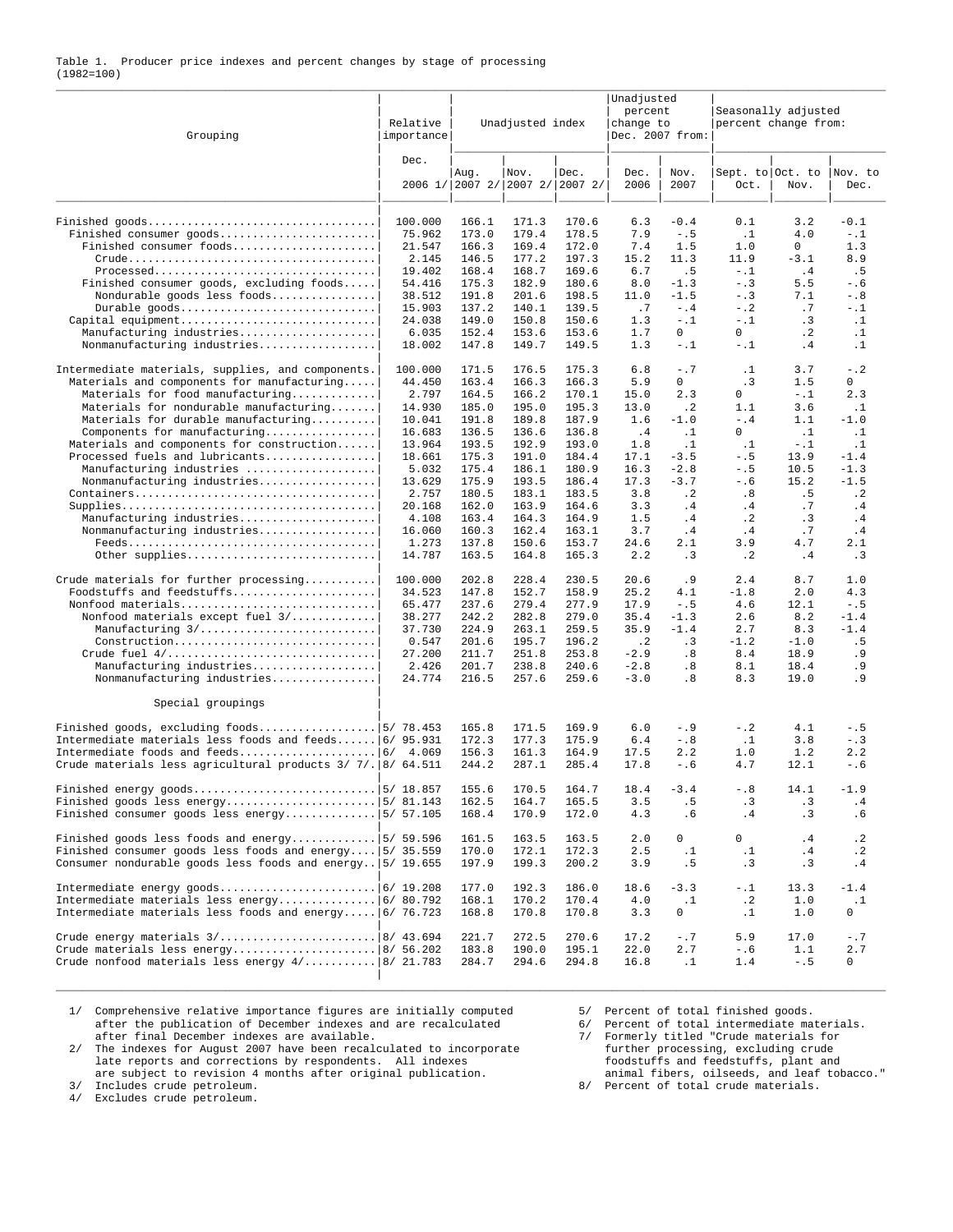#### Table 1. Producer price indexes and percent changes by stage of processing (1982=100) \_\_\_\_\_\_\_\_\_\_\_\_\_\_\_\_\_\_\_\_\_\_\_\_\_\_\_\_\_\_\_\_\_\_\_\_\_\_\_\_\_\_\_\_\_\_\_\_\_\_\_\_\_\_\_\_\_\_\_\_\_\_\_\_\_\_\_\_\_\_\_\_\_\_\_\_\_\_\_\_\_\_\_\_\_\_\_\_\_\_\_\_\_\_\_\_\_\_\_\_\_\_\_\_\_\_\_\_\_\_\_\_\_\_\_\_\_\_\_\_\_\_\_\_\_\_\_

| Grouping                                                                                                                 | Relative<br>importance | Unadjusted<br>percent<br>Unadjusted index<br>change to<br>Dec. 2007 from: |                |                                         |              |                  | Seasonally adjusted<br>percent change from: |                 |                     |  |  |
|--------------------------------------------------------------------------------------------------------------------------|------------------------|---------------------------------------------------------------------------|----------------|-----------------------------------------|--------------|------------------|---------------------------------------------|-----------------|---------------------|--|--|
|                                                                                                                          | Dec.                   | Aug.                                                                      | Nov.           | Dec.<br>2006 1/ 2007 2/ 2007 2/ 2007 2/ | Dec.<br>2006 | Nov.<br>2007     | Sept. to Oct. to<br>Oct.                    | Nov.            | Nov. to<br>Dec.     |  |  |
|                                                                                                                          | 100.000                | 166.1                                                                     | 171.3          | 170.6                                   | 6.3          | $-0.4$           | 0.1                                         | 3.2             | $-0.1$              |  |  |
| Finished consumer goods                                                                                                  | 75.962                 | 173.0                                                                     | 179.4          | 178.5                                   | 7.9          | $- . 5$          | $\cdot$ 1                                   | 4.0             | $-$ .1<br>1.3       |  |  |
| Finished consumer foods                                                                                                  | 21.547<br>2.145        | 166.3<br>146.5                                                            | 169.4<br>177.2 | 172.0<br>197.3                          | 7.4<br>15.2  | 1.5<br>11.3      | 1.0<br>11.9                                 | 0<br>$-3.1$     | 8.9                 |  |  |
| Processed                                                                                                                | 19.402                 | 168.4                                                                     | 168.7          | 169.6                                   | 6.7          | . 5              | $- . 1$                                     | .4              | .5                  |  |  |
| Finished consumer goods, excluding foods                                                                                 | 54.416                 | 175.3                                                                     | 182.9          | 180.6                                   | 8.0          | $-1.3$           | $- . 3$                                     | 5.5             | $-0.6$              |  |  |
| Nondurable goods less foods                                                                                              | 38.512                 | 191.8                                                                     | 201.6          | 198.5                                   | 11.0         | $-1.5$           | $- . 3$                                     | 7.1             | $- . 8$             |  |  |
| Durable goods<br>Capital equipment                                                                                       | 15.903<br>24.038       | 137.2<br>149.0                                                            | 140.1<br>150.8 | 139.5<br>150.6                          | .7<br>1.3    | $- .4$<br>$-1.1$ | $- 0.2$<br>$-$ .1                           | .7<br>.3        | $-1$<br>$\cdot$ 1   |  |  |
| Manufacturing industries                                                                                                 | 6.035                  | 152.4                                                                     | 153.6          | 153.6                                   | 1.7          | $\mathbf{0}$     | 0                                           | $\cdot$ 2       | $\cdot$ 1           |  |  |
| Nonmanufacturing industries                                                                                              | 18.002                 | 147.8                                                                     | 149.7          | 149.5                                   | 1.3          | $- . 1$          | $- . 1$                                     | . 4             | $\cdot$ 1           |  |  |
| Intermediate materials, supplies, and components.<br>Materials and components for manufacturing                          | 100.000                | 171.5<br>163.4                                                            | 176.5<br>166.3 | 175.3<br>166.3                          | 6.8<br>5.9   | $-0.7$<br>0      | $\cdot$ 1                                   | 3.7<br>1.5      | $-$ .2<br>0         |  |  |
| Materials for food manufacturing                                                                                         | 44.450<br>2.797        | 164.5                                                                     | 166.2          | 170.1                                   | 15.0         | 2.3              | .3<br>0                                     | $- . 1$         | 2.3                 |  |  |
| Materials for nondurable manufacturing                                                                                   | 14.930                 | 185.0                                                                     | 195.0          | 195.3                                   | 13.0         | $\cdot$ 2        | 1.1                                         | 3.6             | $\cdot$ 1           |  |  |
| Materials for durable manufacturing                                                                                      | 10.041                 | 191.8                                                                     | 189.8          | 187.9                                   | 1.6          | $-1.0$           | $-$ . 4                                     | 1.1             | $-1.0$              |  |  |
| Components for manufacturing                                                                                             | 16.683                 | 136.5                                                                     | 136.6          | 136.8                                   | .4           | $\cdot$ 1        | 0                                           | $\cdot$ 1       | $\cdot$ 1           |  |  |
| Materials and components for construction<br>Processed fuels and lubricants                                              | 13.964<br>18.661       | 193.5<br>175.3                                                            | 192.9<br>191.0 | 193.0<br>184.4                          | 1.8<br>17.1  | $\cdot$ 1        | $\cdot$ 1<br>$- . 5$                        | $-1.1$          | $\cdot$ 1<br>$-1.4$ |  |  |
| Manufacturing industries                                                                                                 | 5.032                  | 175.4                                                                     | 186.1          | 180.9                                   | 16.3         | $-3.5$<br>$-2.8$ | $- . 5$                                     | 13.9<br>10.5    | $-1.3$              |  |  |
| Nonmanufacturing industries                                                                                              | 13.629                 | 175.9                                                                     | 193.5          | 186.4                                   | 17.3         | $-3.7$           | $- 0.6$                                     | 15.2            | $-1.5$              |  |  |
|                                                                                                                          | 2.757                  | 180.5                                                                     | 183.1          | 183.5                                   | 3.8          | $\cdot$ 2        | .8                                          | . 5             | $\cdot$ 2           |  |  |
|                                                                                                                          | 20.168                 | 162.0                                                                     | 163.9          | 164.6                                   | 3.3          | .4               | . 4                                         | .7              | . 4                 |  |  |
| Manufacturing industries<br>Nonmanufacturing industries                                                                  | 4.108<br>16.060        | 163.4<br>160.3                                                            | 164.3<br>162.4 | 164.9<br>163.1                          | 1.5<br>3.7   | .4<br>.4         | $\cdot$ 2<br>.4                             | . 3<br>.7       | .4<br>.4            |  |  |
| $Feeds \ldots \ldots \ldots \ldots \ldots \ldots \ldots \ldots \ldots \ldots$                                            | 1.273                  | 137.8                                                                     | 150.6          | 153.7                                   | 24.6         | 2.1              | 3.9                                         | 4.7             | 2.1                 |  |  |
| Other supplies                                                                                                           | 14.787                 | 163.5                                                                     | 164.8          | 165.3                                   | 2.2          | $\cdot$ 3        | $\cdot$ 2                                   | .4              | .3                  |  |  |
| Crude materials for further processing                                                                                   | 100.000                | 202.8                                                                     | 228.4          | 230.5                                   | 20.6         | . 9              | 2.4                                         | 8.7             | 1.0                 |  |  |
| Foodstuffs and feedstuffs                                                                                                | 34.523                 | 147.8                                                                     | 152.7          | 158.9                                   | 25.2         | 4.1              | $-1.8$                                      | 2.0             | 4.3                 |  |  |
| Nonfood materials                                                                                                        | 65.477                 | 237.6                                                                     | 279.4          | 277.9                                   | 17.9         | $- . 5$          | 4.6                                         | 12.1            | $- . 5$             |  |  |
| Nonfood materials except fuel 3/<br>Manufacturing 3/                                                                     | 38.277<br>37.730       | 242.2<br>224.9                                                            | 282.8<br>263.1 | 279.0<br>259.5                          | 35.4<br>35.9 | $-1.3$<br>$-1.4$ | 2.6<br>2.7                                  | 8.2<br>8.3      | $-1.4$<br>$-1.4$    |  |  |
| Construction                                                                                                             | 0.547                  | 201.6                                                                     | 195.7          | 196.2                                   | $\cdot$ 2    | .3               | $-1.2$                                      | $-1.0$          | .5                  |  |  |
|                                                                                                                          | 27.200                 | 211.7                                                                     | 251.8          | 253.8                                   | $-2.9$       | .8               | 8.4                                         | 18.9            | . 9                 |  |  |
| Manufacturing industries                                                                                                 | 2.426                  | 201.7                                                                     | 238.8          | 240.6                                   | $-2.8$       | .8               | 8.1                                         | 18.4            | . 9                 |  |  |
| Nonmanufacturing industries                                                                                              | 24.774                 | 216.5                                                                     | 257.6          | 259.6                                   | $-3.0$       | .8               | 8.3                                         | 19.0            | . 9                 |  |  |
| Special groupings                                                                                                        |                        |                                                                           |                |                                         |              |                  |                                             |                 |                     |  |  |
| Finished goods, excluding foods   5/ 78.453                                                                              |                        | 165.8                                                                     | 171.5          | 169.9                                   | 6.0          | $- .9$           | $-$ .2                                      | 4.1             | $- . 5$             |  |  |
| Intermediate materials less foods and feeds $6/95.931$                                                                   |                        | 172.3                                                                     | 177.3          | 175.9                                   | 6.4          | $- . 8$          | $\cdot$ 1                                   | 3.8             | $- . 3$             |  |  |
| Crude materials less agricultural products 3/ 7/. 8/ 64.511                                                              | 4.069                  | 156.3<br>244.2                                                            | 161.3<br>287.1 | 164.9<br>285.4                          | 17.5<br>17.8 | 2.2<br>$-0.6$    | 1.0<br>4.7                                  | 1.2<br>12.1     | 2.2<br>$- 0.6$      |  |  |
|                                                                                                                          |                        | 155.6                                                                     | 170.5          | 164.7                                   | 18.4         | $-3.4$           | $- 0.8$                                     | 14.1            | $-1.9$              |  |  |
|                                                                                                                          |                        | 162.5                                                                     | 164.7          | 165.5                                   | 3.5          | .5               | .3                                          | $\cdot$ 3       | .4                  |  |  |
| Finished consumer goods less energy $ 5/ 57.105$                                                                         |                        | 168.4                                                                     | 170.9          | 172.0                                   | 4.3          | . 6              | .4                                          | $\cdot$ 3       | .6                  |  |  |
| Finished goods less foods and energy   5/ 59.596                                                                         |                        | 161.5                                                                     | 163.5          | 163.5                                   | 2.0          | 0                | 0                                           | .4              | $\cdot$ 2           |  |  |
| Finished consumer goods less foods and energy $ 5/35.559$<br>Consumer nondurable goods less foods and energy   5/ 19.655 |                        | 170.0<br>197.9                                                            | 172.1<br>199.3 | 172.3<br>200.2                          | 2.5<br>3.9   | $\cdot$ 1<br>.5  | $\cdot$ 1<br>$\cdot$ 3                      | .4<br>$\cdot$ 3 | $\cdot$ 2<br>.4     |  |  |
|                                                                                                                          |                        | 177.0                                                                     |                | 186.0                                   |              | $-3.3$           |                                             | 13.3            | $-1.4$              |  |  |
|                                                                                                                          |                        | 168.1                                                                     | 192.3<br>170.2 | 170.4                                   | 18.6<br>4.0  | $\cdot$ 1        | -.1<br>$\cdot$ 2                            | 1.0             | $\cdot$ 1           |  |  |
| Intermediate materials less foods and energy $ 6/76.723 $                                                                |                        | 168.8                                                                     | 170.8          | 170.8                                   | 3.3          | 0                | $\cdot$ 1                                   | 1.0             | 0                   |  |  |
|                                                                                                                          |                        | 221.7                                                                     | 272.5          | 270.6                                   | 17.2         | $-$ .7           | 5.9                                         | 17.0            | $- .7$              |  |  |
|                                                                                                                          |                        | 183.8                                                                     | 190.0          | 195.1                                   | 22.0         | 2.7              | $- 0.6$                                     | 1.1             | 2.7                 |  |  |
| Crude nonfood materials less energy $4/$ 8/ 21.783                                                                       |                        | 284.7                                                                     | 294.6          | 294.8                                   | 16.8         | $\cdot$ 1        | 1.4                                         | $- . 5$         | 0                   |  |  |
|                                                                                                                          |                        |                                                                           |                |                                         |              |                  |                                             |                 |                     |  |  |

\_\_\_\_\_\_\_\_\_\_\_\_\_\_\_\_\_\_\_\_\_\_\_\_\_\_\_\_\_\_\_\_\_\_\_\_\_\_\_\_\_\_\_\_\_\_\_\_\_\_\_\_\_\_\_\_\_\_\_\_\_\_\_\_\_\_\_\_\_\_\_\_\_\_\_\_\_\_\_\_\_\_\_\_\_\_\_\_\_\_\_\_\_\_\_\_\_\_\_\_\_\_\_\_\_\_\_\_\_\_\_\_\_\_\_\_\_\_\_\_\_\_\_\_\_\_\_

1/ Comprehensive relative importance figures are initially computed after the publication of December indexes and are recalculated 6/ Percent of total intermediate materials.<br>after final December indexes are available. The after the publication of December indexes and are recalculated

2/ The indexes for August 2007 have been recalculated to incorporate further processing, excluding crude<br>late reports and corrections by respondents. All indexes foodstuffs and feedstuffs, plant and<br>are subject to revision

3/ Includes crude petroleum.<br>4/ Excludes crude petroleum.

after final December indexes are available.<br>
The indexes for August 2007 have been recalculated to incorporate<br>
late reports and corrections by respondents. All indexes<br>
are subject to revision 4 months after original publ

8/ Percent of total crude materials.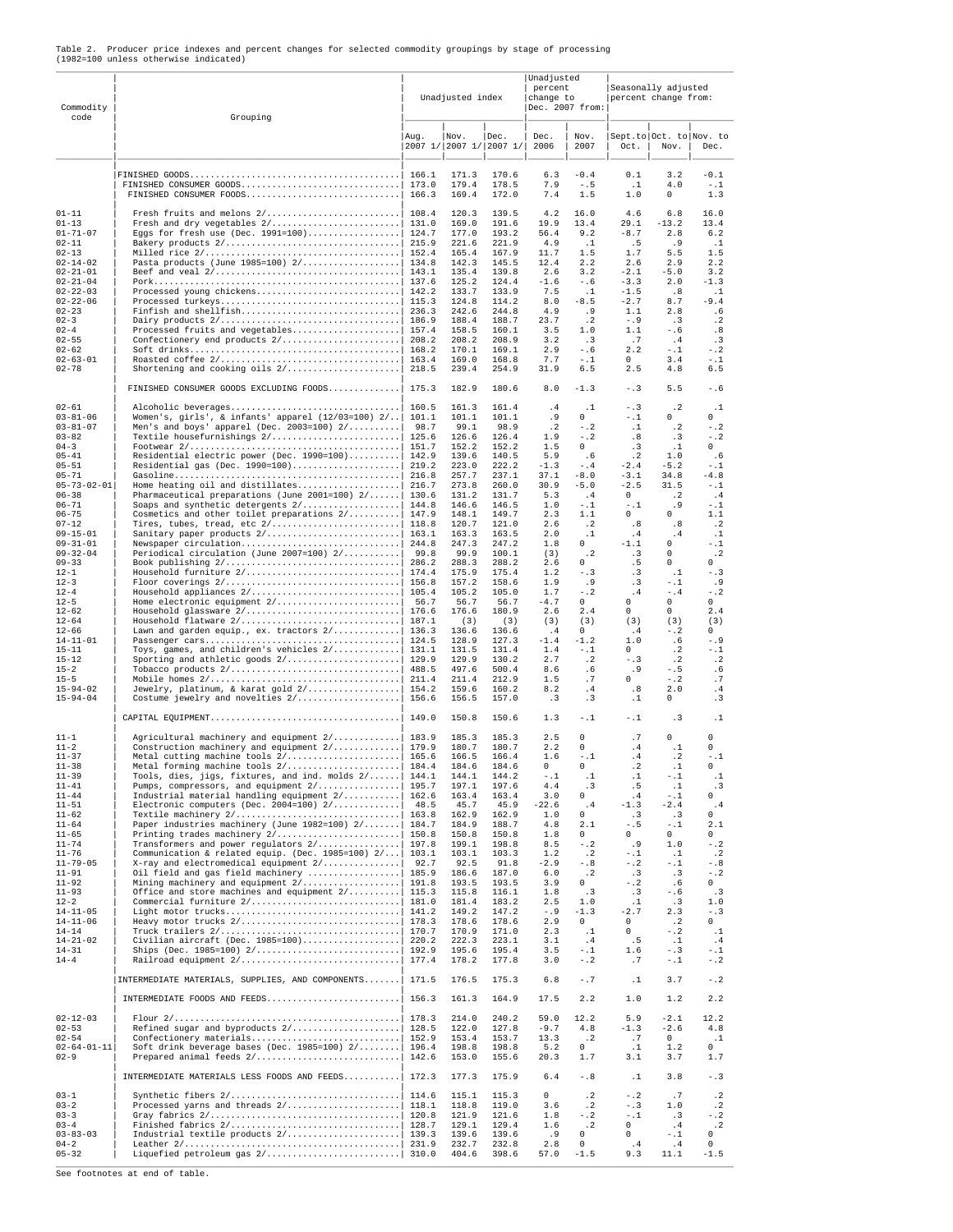| Commodity<br>code                                                                                                                                                                                                                                                                                                                                                                                                                                          | Grouping                                                                                                                                                                                                                                                                                                                                                                                                                                                                                                                                                                                                                                                                                                                                                  |                                                                                               | Unadjusted index                                                                                                                                                                                                                                                                        |                                                                                                                                                                                                                                                                                          | Unadjusted<br>percent<br>change to<br>Dec. 2007 from:                                                                                                                                                                                      |                                                                                                                                                                                                                                                                                                      | Seasonally adjusted<br>percent change from:                                                                                                                                                                                                                                      |                                                                                                                                                                                                                                                                                              |                                                                                                                                                                                                                                                                                        |
|------------------------------------------------------------------------------------------------------------------------------------------------------------------------------------------------------------------------------------------------------------------------------------------------------------------------------------------------------------------------------------------------------------------------------------------------------------|-----------------------------------------------------------------------------------------------------------------------------------------------------------------------------------------------------------------------------------------------------------------------------------------------------------------------------------------------------------------------------------------------------------------------------------------------------------------------------------------------------------------------------------------------------------------------------------------------------------------------------------------------------------------------------------------------------------------------------------------------------------|-----------------------------------------------------------------------------------------------|-----------------------------------------------------------------------------------------------------------------------------------------------------------------------------------------------------------------------------------------------------------------------------------------|------------------------------------------------------------------------------------------------------------------------------------------------------------------------------------------------------------------------------------------------------------------------------------------|--------------------------------------------------------------------------------------------------------------------------------------------------------------------------------------------------------------------------------------------|------------------------------------------------------------------------------------------------------------------------------------------------------------------------------------------------------------------------------------------------------------------------------------------------------|----------------------------------------------------------------------------------------------------------------------------------------------------------------------------------------------------------------------------------------------------------------------------------|----------------------------------------------------------------------------------------------------------------------------------------------------------------------------------------------------------------------------------------------------------------------------------------------|----------------------------------------------------------------------------------------------------------------------------------------------------------------------------------------------------------------------------------------------------------------------------------------|
|                                                                                                                                                                                                                                                                                                                                                                                                                                                            |                                                                                                                                                                                                                                                                                                                                                                                                                                                                                                                                                                                                                                                                                                                                                           | Aug.                                                                                          | Nov.<br>2007 1/ 2007 1/ 2007 1/                                                                                                                                                                                                                                                         | Dec.                                                                                                                                                                                                                                                                                     | Dec.<br>2006                                                                                                                                                                                                                               | Nov.<br>2007                                                                                                                                                                                                                                                                                         | Oct.                                                                                                                                                                                                                                                                             | Sept.to Oct. to Nov. to<br>Nov.                                                                                                                                                                                                                                                              | Dec.                                                                                                                                                                                                                                                                                   |
|                                                                                                                                                                                                                                                                                                                                                                                                                                                            | FINISHED CONSUMER GOODS<br>FINISHED CONSUMER FOODS                                                                                                                                                                                                                                                                                                                                                                                                                                                                                                                                                                                                                                                                                                        | 166.1<br>173.0<br>166.3                                                                       | 171.3<br>179.4<br>169.4                                                                                                                                                                                                                                                                 | 170.6<br>178.5<br>172.0                                                                                                                                                                                                                                                                  | 6.3<br>7.9<br>7.4                                                                                                                                                                                                                          | $-0.4$<br>$- 0.5$<br>1.5                                                                                                                                                                                                                                                                             | 0.1<br>$\cdot$ 1<br>$1.0$                                                                                                                                                                                                                                                        | 3.2<br>4.0<br>$\Omega$                                                                                                                                                                                                                                                                       | $-0.1$<br>$-1$<br>1.3                                                                                                                                                                                                                                                                  |
| $01 - 11$<br>$01 - 13$<br>$01 - 71 - 07$<br>$02 - 11$<br>$02 - 13$<br>$02 - 14 - 02$<br>$02 - 21 - 01$<br>$02 - 21 - 04$<br>$02 - 22 - 03$<br>$02 - 22 - 06$<br>$02 - 23$<br>$02 - 3$<br>$02 - 4$<br>$02 - 55$<br>$02 - 62$<br>$02 - 63 - 01$<br>$02 - 78$                                                                                                                                                                                                 | Eggs for fresh use (Dec. 1991=100)  124.7<br>Pasta products (June 1985=100) 2/  134.8<br>Processed fruits and vegetables<br>Confectionery end products 2/ <br>FINISHED CONSUMER GOODS EXCLUDING FOODS  175.3                                                                                                                                                                                                                                                                                                                                                                                                                                                                                                                                              | 157.4<br>208.2<br>168.2                                                                       | 120.3<br>169.0<br>177.0<br>221.6<br>165.4<br>142.3<br>135.4<br>125.2<br>133.7<br>124.8<br>242.6<br>188.4<br>158.5<br>208.2<br>170.1<br>169.0<br>239.4<br>182.9                                                                                                                          | 139.5<br>191.6<br>193.2<br>221.9<br>167.9<br>145.5<br>139.8<br>124.4<br>133.9<br>114.2<br>244.8<br>188.7<br>160.1<br>208.9<br>169.1<br>168.8<br>254.9<br>180.6                                                                                                                           | 4.2<br>19.9<br>56.4<br>4.9<br>11.7<br>12.4<br>2.6<br>$-1.6$<br>7.5<br>8.0<br>4.9<br>23.7<br>3.5<br>3.2<br>2.9<br>7.7<br>31.9<br>8.0                                                                                                        | 16.0<br>13.4<br>9.2<br>$\cdot$ 1<br>1.5<br>2.2<br>3.2<br>$-0.6$<br>$\cdot$ 1<br>$-8.5$<br>. 9<br>$\cdot$ 2<br>1.0<br>.3<br>$-0.6$<br>$- . 1$<br>6.5<br>$-1.3$                                                                                                                                        | 4.6<br>29.1<br>$-8.7$<br>.5<br>1.7<br>2.6<br>$-2.1$<br>$-3.3$<br>$-1.5$<br>$-2.7$<br>1.1<br>$- .9$<br>1.1<br>$\cdot$ .7<br>2.2<br>$\Omega$<br>2.5<br>$- . 3$                                                                                                                     | 6.8<br>$-13.2$<br>2.8<br>.9<br>5.5<br>2.9<br>$-5.0$<br>2.0<br>.8<br>8.7<br>2.8<br>.3<br>$-0.6$<br>.4<br>$-$ .1<br>3.4<br>4.8<br>5.5                                                                                                                                                          | 16.0<br>13.4<br>6.2<br>$\cdot$ 1<br>1.5<br>2.2<br>3.2<br>$-1.3$<br>$\cdot$ 1<br>$-9.4$<br>.6<br>$\cdot$ 2<br>.8<br>.3<br>$- 0.2$<br>$- .1$<br>6.5<br>- . 6                                                                                                                             |
| $02 - 61$<br>$03 - 81 - 06$<br>$03 - 81 - 07$<br>$03 - 82$<br>$04 - 3$<br>$05 - 41$<br>$05 - 51$<br>$05 - 71$<br>$05 - 73 - 02 - 01$<br>$06 - 38$<br>$06 - 71$<br>$06 - 75$<br>$07 - 12$<br>$09 - 15 - 01$<br>$09 - 31 - 01$<br>$09 - 32 - 04$<br>$09 - 33$<br>$12 - 1$<br>$12 - 3$<br>$12 - 4$<br>$12 - 5$<br>$12 - 62$<br>$12 - 64$<br>$12 - 66$<br>$14 - 11 - 01$<br>$15 - 11$<br>$15 - 12$<br>$15 - 2$<br>$15 - 5$<br>$15 - 94 - 02$<br>$15 - 94 - 04$ | Alcoholic beverages<br>Women's, girls', & infants' apparel (12/03=100) 2/<br>Men's and boys' apparel (Dec. 2003=100) $2/\ldots$<br>Textile housefurnishings 2/  125.6<br>Residential electric power (Dec. 1990=100)  142.9<br>Pharmaceutical preparations (June 2001=100) $2/\ldots$   130.6<br>Cosmetics and other toilet preparations 2/  147.9<br>Sanitary paper products 2/<br>Newspaper circulation<br>Periodical circulation (June 2007=100) 2/<br>Home electronic equipment 2/<br>Lawn and garden equip., ex. tractors 2/   136.3<br>Toys, games, and children's vehicles 2/  131.1<br>Jewelry, platinum, & karat gold 2/ 154.2                                                                                                                    | 160.5<br>101.1<br>98.7<br>118.8<br>163.1<br>244.8<br>99.8<br>286.2<br>174.4<br>56.7           | 161.3<br>101.1<br>99.1<br>126.6<br>152.2<br>139.6<br>223.0<br>257.7<br>273.8<br>131.2<br>146.6<br>148.1<br>120.7<br>163.3<br>247.3<br>99.9<br>288.3<br>175.9<br>157.2<br>105.2<br>56.7<br>176.6<br>(3)<br>136.6<br>128.9<br>131.5<br>129.9<br>497.6<br>211.4<br>159.6<br>156.5<br>150.8 | 161.4<br>101.1<br>98.9<br>126.4<br>152.2<br>140.5<br>222.2<br>237.1<br>260.0<br>131.7<br>146.5<br>149.7<br>121.0<br>163.5<br>247.2<br>100.1<br>288.2<br>175.4<br>158.6<br>105.0<br>56.7<br>180.9<br>(3)<br>136.6<br>127.3<br>131.4<br>130.2<br>500.4<br>212.9<br>160.2<br>157.0<br>150.6 | .4<br>. 9<br>$\cdot$ 2<br>1.9<br>1.5<br>5.9<br>$-1.3$<br>37.1<br>30.9<br>5.3<br>1.0<br>2.3<br>2.6<br>2.0<br>1.8<br>(3)<br>2.6<br>1.2<br>1.9<br>1.7<br>$-4.7$<br>2.6<br>(3)<br>.4<br>$-1.4$<br>1.4<br>2.7<br>8.6<br>1.5<br>8.2<br>.3<br>1.3 | $\cdot$ 1<br>0<br>$- 0.2$<br>$- 0.2$<br>$\circ$<br>. 6<br>$- .4$<br>$-8.0$<br>$-5.0$<br>.4<br>$-1$<br>1.1<br>$\cdot$ 2<br>$\cdot$ 1<br>$\Omega$<br>. 2<br>$\Omega$<br>$- 0.3$<br>. 9<br>$-$ .2<br>$\circ$<br>2.4<br>(3)<br>$\Omega$<br>$-1.2$<br>$-1$<br>$\cdot$ 2<br>. 6<br>.7<br>.4<br>. 3<br>$-1$ | $-1.3$<br>-.1<br>$\cdot$ 1<br>.8<br>.3<br>$\cdot$ 2<br>$-2.4$<br>$-3.1$<br>$-2.5$<br>$\Omega$<br>$-1$<br>$\Omega$<br>.8<br>.4<br>$-1.1$<br>.3<br>. 5<br>$\cdot$ 3<br>.3<br>.4<br>0<br>0<br>(3)<br>. 4<br>1.0<br>$\Omega$<br>$- . 3$<br>. 9<br>$\circ$<br>.8<br>$\cdot$ 1<br>$-1$ | . 2<br>0<br>$\cdot$ 2<br>. 3<br>$\cdot$ 1<br>1.0<br>$-5.2$<br>34.8<br>31.5<br>$\cdot$ 2<br>.9<br>$\Omega$<br>.8<br>.4<br>$\Omega$<br>$\Omega$<br>$\Omega$<br>.1<br>$-$ .1<br>$-1.4$<br>0<br>0<br>(3)<br>$-$ .2<br>. 6<br>$\cdot$ 2<br>$\cdot$ 2<br>$-.5$<br>$- 0.2$<br>2.0<br>$\Omega$<br>.3 | $\cdot$ 1<br>0<br>$- 0.2$<br>$- 0.2$<br>$\circ$<br>.6<br>-.1<br>$-4.8$<br>$-1$<br>.4<br>-.1<br>1.1<br>$\cdot$ 2<br>$\cdot$ 1<br>- . 1<br>$\cdot$ 2<br>0<br>$- . 3$<br>.9<br>$-$ .2<br>0<br>2.4<br>(3)<br>$\Omega$<br>$- .9$<br>- . 1<br>$\cdot$ 2<br>.6<br>.7<br>.4<br>.3<br>$\cdot$ 1 |
| $11 - 1$<br>$11 - 2$<br>$11 - 37$<br>$11 - 38$<br>$11 - 39$<br>$11 - 41$<br>$11 - 44$<br>$11 - 51$<br>$11 - 62$<br>$11 - 64$<br>$11 - 65$<br>$11 - 74$<br>$11 - 76$<br>$11 - 79 - 05$<br>$11 - 91$<br>$11 - 92$<br>$11 - 93$<br>$12 - 2$<br>$14 - 11 - 05$<br>$14 - 11 - 06$<br>$14 - 14$<br>$14 - 21 - 02$<br>$14 - 31$<br>$14 - 4$                                                                                                                       | Agricultural machinery and equipment 2/  183.9<br>Construction machinery and equipment 2/  179.9<br>Metal cutting machine tools 2/  165.6<br>Metal forming machine tools 2/ <br>Tools, dies, jigs, fixtures, and ind. molds 2/<br>Pumps, compressors, and equipment 2/<br>Industrial material handling equipment 2/<br>Electronic computers (Dec. 2004=100) $2/$<br>Paper industries machinery (June 1982=100) 2/<br>Transformers and power regulators $2/$<br>Communication & related equip. (Dec. 1985=100) 2/<br>X-ray and electromedical equipment 2/ <br>Oil field and gas field machinery  <br>Mining machinery and equipment 2/  191.8<br>Office and store machines and equipment $2/$   115.3<br>INTERMEDIATE MATERIALS, SUPPLIES, AND COMPONENTS | 184.4<br>144.1<br>195.7<br>162.6<br>48.5<br>184.7<br>197.8<br>103.1<br>92.7<br>185.9<br>171.5 | 185.3<br>180.7<br>166.5<br>184.6<br>144.1<br>197.1<br>163.4<br>45.7<br>162.9<br>184.9<br>150.8<br>199.1<br>103.1<br>92.5<br>186.6<br>193.5<br>115.8<br>181.4<br>149.2<br>178.6<br>170.9<br>222.3<br>195.6<br>178.2<br>176.5                                                             | 185.3<br>180.7<br>166.4<br>184.6<br>144.2<br>197.6<br>163.4<br>45.9<br>162.9<br>188.7<br>150.8<br>198.8<br>103.3<br>91.8<br>187.0<br>193.5<br>116.1<br>183.2<br>147.2<br>178.6<br>171.0<br>223.1<br>195.4<br>177.8<br>175.3                                                              | 2.5<br>2.2<br>1.6<br>$\cap$<br>$-1.1$<br>4.4<br>3.0<br>$-22.6$<br>1.0<br>4.8<br>1.8<br>8.5<br>1.2<br>$-2.9$<br>6.0<br>3.9<br>1.8<br>2.5<br>$- . 9$<br>2.9<br>2.3<br>3.1<br>3.5<br>3.0<br>6.8                                               | 0<br>$\Omega$<br>$- 0.1$<br>$\Omega$<br>.1<br>$\cdot$ 3<br>$\Omega$<br>. 4<br>$\Omega$<br>2.1<br>$\Omega$<br>$-$ .2<br>$\cdot$ 2<br>$- . 8$<br>$\cdot$ 2<br>$\Omega$<br>. 3<br>1.0<br>$-1.3$<br>$\Omega$<br>$\cdot$ 1<br>.4<br>$- . 1$<br>$- 0.2$<br>-.7                                             | .7<br>.4<br>.4<br>$\cdot$ 2<br>.1<br>.5<br>.4<br>$-1.3$<br>.3<br>$-.5$<br>$\Omega$<br>.9<br>$- . 1$<br>$- 0.2$<br>.3<br>$- 0.2$<br>$\cdot$ 3<br>$\cdot$ 1<br>$-2.7$<br>$\circ$<br>$\Omega$<br>.5<br>1.6<br>.7<br>$\cdot$ 1                                                       | 0<br>$\cdot$ 1<br>$\cdot$ 2<br>. 1<br>- . 1<br>$\cdot$ 1<br>$-1$<br>$-2.4$<br>$\cdot$ 3<br>$-1.1$<br>$\Omega$<br>1.0<br>. 1<br>$- . 1$<br>$\cdot$ 3<br>.6<br>-.6<br>.3<br>2.3<br>$\cdot$ 2<br>$- 0.2$<br>$\cdot\,1$<br>$- . 3$<br>$-1$<br>3.7                                                | 0<br>0<br>$-1.1$<br>$\Omega$<br>$\cdot$ 1<br>$\cdot$ 3<br>0<br>.4<br>$\Omega$<br>2.1<br>0<br>$- 0.2$<br>$\cdot$ 2<br>$- 0.8$<br>$- 0.2$<br>$\circ$<br>$\cdot$ 3<br>1.0<br>$- . 3$<br>0<br>$\cdot$ 1<br>.4<br>$- .1$<br>$-$ . 2<br>$- . 2$                                              |
| $02 - 12 - 03$<br>$02 - 53$<br>$02 - 54$<br>$02 - 64 - 01 - 11$<br>$02 - 9$                                                                                                                                                                                                                                                                                                                                                                                | INTERMEDIATE FOODS AND FEEDS<br>Refined sugar and byproducts 2/<br>Confectionery materials<br>Soft drink beverage bases (Dec. 1985=100) $2/\dots$<br>Prepared animal feeds 2/                                                                                                                                                                                                                                                                                                                                                                                                                                                                                                                                                                             | 156.3<br>128.5<br>152.9<br>196.4<br>142.6                                                     | 161.3<br>214.0<br>122.0<br>153.4<br>198.8<br>153.0                                                                                                                                                                                                                                      | 164.9<br>240.2<br>127.8<br>153.7<br>198.8<br>155.6                                                                                                                                                                                                                                       | 17.5<br>59.0<br>$-9.7$<br>13.3<br>5.2<br>20.3                                                                                                                                                                                              | 2.2<br>12.2<br>4.8<br>$\cdot$ 2<br>0<br>1.7                                                                                                                                                                                                                                                          | 1.0<br>5.9<br>$-1.3$<br>.7<br>$\cdot$ 1<br>3.1                                                                                                                                                                                                                                   | 1.2<br>$-2.1$<br>$-2.6$<br>$\circ$<br>1.2<br>3.7                                                                                                                                                                                                                                             | 2.2<br>12.2<br>4.8<br>$\cdot$ 1<br>$\Omega$<br>1.7                                                                                                                                                                                                                                     |
|                                                                                                                                                                                                                                                                                                                                                                                                                                                            | INTERMEDIATE MATERIALS LESS FOODS AND FEEDS                                                                                                                                                                                                                                                                                                                                                                                                                                                                                                                                                                                                                                                                                                               | 172.3                                                                                         | 177.3                                                                                                                                                                                                                                                                                   | 175.9                                                                                                                                                                                                                                                                                    | 6.4                                                                                                                                                                                                                                        | $-$ . $8\,$                                                                                                                                                                                                                                                                                          | $\cdot$ 1                                                                                                                                                                                                                                                                        | 3.8                                                                                                                                                                                                                                                                                          | $- . 3$                                                                                                                                                                                                                                                                                |
| $03 - 1$<br>$03 - 2$<br>$03 - 3$<br>$03 - 4$<br>$03 - 83 - 03$<br>$04 - 2$<br>$05 - 32$                                                                                                                                                                                                                                                                                                                                                                    | See footnotes at end of table.                                                                                                                                                                                                                                                                                                                                                                                                                                                                                                                                                                                                                                                                                                                            |                                                                                               | 115.1<br>118.8<br>121.9<br>129.1<br>139.6<br>232.7<br>404.6                                                                                                                                                                                                                             | 115.3<br>119.0<br>121.6<br>129.4<br>139.6<br>232.8<br>398.6                                                                                                                                                                                                                              | 0<br>3.6<br>1.8<br>1.6<br>. 9<br>2.8<br>57.0                                                                                                                                                                                               | $\cdot$ 2<br>$\cdot$ 2<br>$- 0.2$<br>$\cdot$ 2<br>0<br>0<br>$-1.5$                                                                                                                                                                                                                                   | $- 0.2$<br>$- . 3$<br>$- .1$<br>$\Omega$<br>$\circ$<br>.4<br>9.3                                                                                                                                                                                                                 | . 7<br>1.0<br>.3<br>.4<br>$- .1$<br>. 4<br>11.1                                                                                                                                                                                                                                              | $\cdot$ 2<br>$\cdot$ 2<br>$- 0.2$<br>$\cdot$ 2<br>$\circ$<br>0<br>$-1.5$                                                                                                                                                                                                               |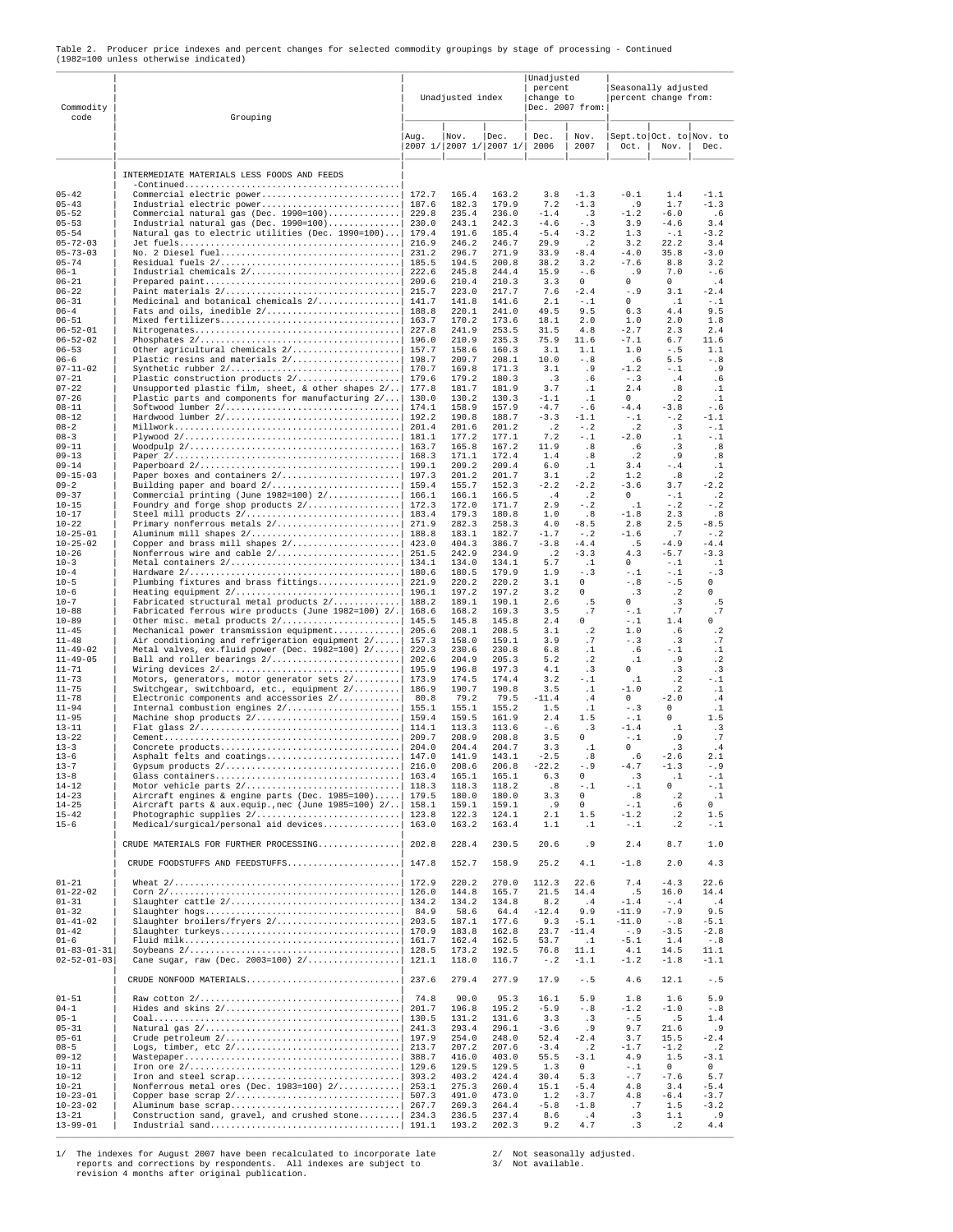|                                       |  |  |  |  |  |  | Table 2. Producer price indexes and percent changes for selected commodity groupings by stage of processing - Continued |  |
|---------------------------------------|--|--|--|--|--|--|-------------------------------------------------------------------------------------------------------------------------|--|
| (1982=100 unless otherwise indicated) |  |  |  |  |  |  |                                                                                                                         |  |

| Commodity<br>code                          | Grouping                                                                                                              |                | Unadjusted index        |                 | Unadjusted<br>percent<br>change to<br>Dec. 2007 from: |                         | Seasonally adjusted<br>percent change from: |                                 |                       |  |
|--------------------------------------------|-----------------------------------------------------------------------------------------------------------------------|----------------|-------------------------|-----------------|-------------------------------------------------------|-------------------------|---------------------------------------------|---------------------------------|-----------------------|--|
|                                            |                                                                                                                       | Aug.           | Nov.<br>2007 1/ 2007 1/ | Dec.<br> 20071/ | Dec.<br>2006                                          | Nov.<br>2007            | Oct.                                        | Sept.to Oct. to Nov. to<br>Nov. | Dec.                  |  |
|                                            | INTERMEDIATE MATERIALS LESS FOODS AND FEEDS                                                                           |                |                         |                 |                                                       |                         |                                             |                                 |                       |  |
|                                            | $-Continued \ldots \ldots \ldots \ldots \ldots \ldots \ldots \ldots \ldots \ldots \ldots \ldots \ldots$               |                |                         |                 |                                                       |                         |                                             |                                 |                       |  |
| $05 - 42$<br>$05 - 43$                     | Commercial electric power<br>Industrial electric power                                                                | 172.7<br>187.6 | 165.4<br>182.3          | 163.2<br>179.9  | 3.8<br>7.2                                            | $-1.3$<br>$-1.3$        | $-0.1$<br>.9                                | 1.4<br>1.7                      | $-1.1$<br>$-1.3$      |  |
| $05 - 52$<br>$05 - 53$                     | Commercial natural gas (Dec. 1990=100)<br>Industrial natural gas (Dec. $1990=100$ )                                   | 229.8<br>230.0 | 235.4<br>243.1          | 236.0<br>242.3  | $-1.4$<br>$-4.6$                                      | . 3<br>$- . 3$          | $-1.2$<br>3.9                               | $-6.0$<br>$-4.6$                | .6<br>3.4             |  |
| $05 - 54$                                  | Natural gas to electric utilities (Dec. 1990=100)                                                                     | 179.4          | 191.6                   | 185.4           | $-5.4$                                                | $-3.2$                  | 1.3                                         | $-1$                            | $-3.2$                |  |
| $05 - 72 - 03$<br>$05 - 73 - 03$           |                                                                                                                       | 216.9          | 246.2<br>296.7          | 246.7<br>271.9  | 29.9<br>33.9                                          | $\cdot$ . 2<br>$-8.4\,$ | 3.2<br>$-4.0$                               | 22.2<br>35.8                    | 3.4<br>$-3.0$         |  |
| $05 - 74$                                  |                                                                                                                       | 185.5          | 194.5                   | 200.8           | 38.2                                                  | 3.2                     | $-7.6$                                      | 8.8                             | 3.2                   |  |
| $06 - 1$<br>$06 - 21$                      |                                                                                                                       |                | 245.8<br>210.4          | 244.4<br>210.3  | 15.9<br>3.3                                           | $-0.6$<br>$\mathsf 0$   | . 9<br>0                                    | 7.0<br>0                        | $-0.6$<br>.4          |  |
| $06 - 22$                                  |                                                                                                                       |                | 223.0                   | 217.7           | 7.6                                                   | $-2.4$                  | $-.9$                                       | 3.1                             | $-2.4$                |  |
| $06 - 31$<br>$06 - 4$                      | Medicinal and botanical chemicals 2/  141.7                                                                           | 188.8          | 141.8<br>220.1          | 141.6<br>241.0  | 2.1<br>49.5                                           | $-1.1$<br>9.5           | $\Omega$<br>6.3                             | . 1<br>4.4                      | $-1$<br>9.5           |  |
| $06 - 51$<br>$06 - 52 - 01$                |                                                                                                                       | 163.7<br>227.8 | 170.2<br>241.9          | 173.6<br>253.5  | 18.1<br>31.5                                          | 2.0<br>4.8              | 1.0<br>$-2.7$                               | 2.0<br>2.3                      | 1.8<br>2.4            |  |
| $06 - 52 - 02$                             |                                                                                                                       | 196.0          | 210.9                   | 235.3           | 75.9                                                  | 11.6                    | $-7.1$                                      | 6.7                             | 11.6                  |  |
| $06 - 53$<br>$06 - 6$                      | Other agricultural chemicals 2/                                                                                       | 157.7<br>198.7 | 158.6<br>209.7          | 160.3<br>208.1  | 3.1<br>10.0                                           | 1.1<br>$-0.8$           | 1.0<br>.6                                   | $-0.5$<br>5.5                   | 1.1<br>$-0.8$         |  |
| $07 - 11 - 02$                             |                                                                                                                       | 170.7          | 169.8                   | 171.3           | 3.1                                                   | . 9                     | $-1.2$                                      | $-1.1$                          | . 9                   |  |
| $07 - 21$<br>$07 - 22$                     | Plastic construction products 2/ <br>Unsupported plastic film, sheet, & other shapes $2/.$                            | 179.6<br>177.8 | 179.2<br>181.7          | 180.3<br>181.9  | $\cdot$ 3<br>3.7                                      | . 6<br>$\cdot$ 1        | $-1.3$<br>2.4                               | .4<br>.8                        | . 6<br>$\cdot$ 1      |  |
| $07 - 26$                                  | Plastic parts and components for manufacturing $2/\ldots$                                                             | 130.0          | 130.2                   | 130.3           | $-1.1$                                                | $\cdot$ 1               | $\Omega$                                    | $\cdot$ 2                       | $\cdot$ 1             |  |
| $08 - 11$<br>$08 - 12$                     |                                                                                                                       | 192.2          | 158.9<br>190.8          | 157.9<br>188.7  | $-4.7$<br>$-3.3$                                      | $-0.6$<br>$-1.1$        | $-4.4$<br>$- .1$                            | $-3.8$<br>$- 0.2$               | $-0.6$<br>$-1.1$      |  |
| $08 - 2$<br>$08 - 3$                       |                                                                                                                       | 181.1          | 201.6<br>177.2          | 201.2<br>177.1  | $\cdot$ 2<br>7.2                                      | $- 0.2$<br>$- . 1$      | $\cdot$ 2<br>$-2.0$                         | $\cdot$ 3<br>$\cdot$ 1          | $-1$<br>-.1           |  |
| $09 - 11$                                  |                                                                                                                       |                | 165.8                   | 167.2           | 11.9                                                  | .8                      | .6                                          | .3                              | .8                    |  |
| $09 - 13$<br>$09 - 14$                     |                                                                                                                       | 199.1          | 171.1<br>209.2          | 172.4<br>209.4  | 1.4<br>6.0                                            | .8<br>$\cdot$ 1         | $\cdot$ 2<br>3.4                            | .9<br>$- .4$                    | .8<br>$\cdot$ 1       |  |
| $09 - 15 - 03$                             |                                                                                                                       | 197.3          | 201.2                   | 201.7           | 3.1                                                   | $\cdot$ 2               | 1.2                                         | .8                              | $\cdot$ 2             |  |
| $09 - 2$<br>$09 - 37$                      | Commercial printing (June 1982=100) 2/  166.1                                                                         |                | 155.7<br>166.1          | 152.3<br>166.5  | $-2.2$<br>.4                                          | $-2.2$<br>$\cdot$ 2     | $-3.6$<br>$\Omega$                          | 3.7<br>$-1.1$                   | $-2.2$<br>$\cdot$ 2   |  |
| $10 - 15$                                  | Foundry and forge shop products 2/  172.3                                                                             |                | 172.0                   | 171.7           | 2.9                                                   | $-$ .2                  | $\cdot$ 1                                   | $- 0.2$                         | $-$ .2                |  |
| $10 - 17$<br>$10 - 22$                     |                                                                                                                       |                | 179.3<br>282.3          | 180.8<br>258.3  | 1.0<br>4.0                                            | .8<br>$-8.5$            | $-1.8$<br>2.8                               | 2.3<br>2.5                      | .8<br>$-8.5$          |  |
| $10 - 25 - 01$<br>$10 - 25 - 02$           |                                                                                                                       |                | 183.1<br>404.3          | 182.7<br>386.7  | $-1.7$<br>$-3.8$                                      | $- 0.2$<br>$-4.4$       | $-1.6$<br>. 5                               | .7<br>$-4.9$                    | $- 0.2$<br>$-4.4$     |  |
| $10 - 26$                                  |                                                                                                                       |                | 242.9                   | 234.9           | $\cdot$ 2                                             | $-3.3$                  | 4.3                                         | $-5.7$                          | $-3.3$                |  |
| $10 - 3$<br>$10 - 4$                       |                                                                                                                       | 180.6          | 134.0<br>180.5          | 134.1<br>179.9  | 5.7<br>1.9                                            | .1<br>$-1.3$            | $\circ$<br>$-1$                             | $-1$<br>$-1$                    | . 1<br>$- . 3$        |  |
| $10 - 5$                                   | Plumbing fixtures and brass fittings                                                                                  | 221.9          | 220.2                   | 220.2           | 3.1                                                   | 0                       | $- . 8$                                     | $- . 5$                         | 0                     |  |
| $10 - 6$<br>$10 - 7$                       | Heating equipment 2/<br>Fabricated structural metal products 2/                                                       | 196.1<br>188.2 | 197.2<br>189.1          | 197.2<br>190.1  | 3.2<br>2.6                                            | $\Omega$<br>. 5         | $\cdot$ 3<br>$\Omega$                       | $\cdot$ 2<br>. 3                | 0<br>. 5              |  |
| $10 - 88$                                  | Fabricated ferrous wire products (June 1982=100) 2/.                                                                  | 168.6          | 168.2                   | 169.3           | 3.5                                                   | .7<br>$\cap$            | $-1$                                        | $\cdot$ 7<br>1.4                | .7<br>0               |  |
| $10 - 89$<br>$11 - 45$                     | Other misc. metal products 2/<br>Mechanical power transmission equipment                                              | 145.5<br>205.6 | 145.8<br>208.1          | 145.8<br>208.5  | 2.4<br>3.1                                            | $\cdot$ 2               | $- .1$<br>$1.0$                             | . 6                             | $\cdot$ 2             |  |
| $11 - 48$<br>$11 - 49 - 02$                | Air conditioning and refrigeration equipment 2/<br>Metal valves, ex.fluid power (Dec. 1982=100) $2/$                  | 157.3<br>229.3 | 158.0<br>230.6          | 159.1<br>230.8  | 3.9<br>6.8                                            | .7<br>$\cdot$ 1         | $- . 3$<br>. 6                              | $\cdot$ 3<br>$-1$               | .7<br>$\cdot$ 1       |  |
| $11 - 49 - 05$                             | Ball and roller bearings 2/                                                                                           | 202.6          | 204.9                   | 205.3           | 5.2                                                   | $\cdot$ 2               | $\cdot$ 1                                   | . 9                             | $\cdot$ 2             |  |
| $11 - 71$<br>$11 - 73$                     | Motors, generators, motor generator sets 2/ 173.9                                                                     | 195.9          | 196.8<br>174.5          | 197.3<br>174.4  | 4.1<br>3.2                                            | .3<br>-.1               | $\Omega$<br>$\cdot$ 1                       | .3<br>$\cdot$ 2                 | $\cdot$ 3<br>- . 1    |  |
| $11 - 75$                                  | Switchgear, switchboard, etc., equipment 2/  186.9                                                                    |                | 190.7                   | 190.8           | 3.5                                                   | $\cdot$ 1               | $-1.0$<br>$\circ$                           | $\cdot$ 2<br>$-2.0$             | $\cdot$ 1             |  |
| $11 - 78$<br>$11 - 94$                     | Electronic components and accessories 2/                                                                              | 80.8           | 79.2<br>155.1           | 79.5<br>155.2   | $-11.4$<br>1.5                                        | .4<br>$\cdot$ 1         | $- . 3$                                     | $\circ$                         | .4<br>$\cdot$ 1       |  |
| $11 - 95$<br>$13 - 11$                     | Machine shop products 2/                                                                                              | 159.4<br>114.1 | 159.5<br>113.3          | 161.9<br>113.6  | 2.4<br>$-0.6$                                         | 1.5<br>.3               | $- . 1$<br>$-1.4$                           | $\Omega$<br>$\cdot$ 1           | 1.5<br>. 3            |  |
| $13 - 22$                                  |                                                                                                                       |                | 208.9                   | 208.8           | 3.5                                                   | $\Omega$                | $- 0.1$                                     | . 9                             | .7                    |  |
| $13 - 3$<br>$13 - 6$                       |                                                                                                                       |                | 204.4<br>141.9          | 204.7<br>143.1  | 3.3<br>$-2.5$                                         | . 1<br>.8               | $\cap$<br>.6                                | . 3<br>$-2.6$                   | .4<br>2.1             |  |
| $13 - 7$                                   |                                                                                                                       | 216.0          | 208.6                   | 206.8           | $-22.2$                                               | $-0.9$                  | -4.7                                        | $-1.3$                          | -.9                   |  |
| $13 - 8$<br>$14 - 12$                      |                                                                                                                       |                | 165.1<br>118.3          | 165.1<br>118.2  | 6.3<br>.8                                             | 0<br>$- . 1$            | .3<br>$- .1$                                | $\cdot$ 1<br>0                  | $-1$<br>$-1$          |  |
| $14 - 23$<br>$14 - 25$                     | Aircraft engines & engine parts (Dec. 1985=100)  179.5<br>Aircraft parts & aux.equip., nec (June 1985=100) 2/   158.1 |                | 180.0<br>159.1          | 180.0<br>159.1  | 3.3<br>.9                                             | $\circ$<br>$\Omega$     | .8<br>$\sim$ . 1                            | $\cdot$ 2<br>.6                 | $\cdot$ 1<br>$\Omega$ |  |
| $15 - 42$                                  |                                                                                                                       | 123.8          | 122.3                   | 124.1           | 2.1                                                   | 1.5                     | $-1.2$                                      | $\cdot$ 2                       | 1.5                   |  |
| $15 - 6$                                   | Medical/surgical/personal aid devices                                                                                 | 163.0          | 163.2                   | 163.4           | 1.1                                                   | $\cdot$ 1               | $-1$                                        | $\cdot$ 2                       | $- . 1$               |  |
|                                            | CRUDE MATERIALS FOR FURTHER PROCESSING<br>CRUDE FOODSTUFFS AND FEEDSTUFFS                                             | 202.8<br>147.8 | 228.4<br>152.7          | 230.5<br>158.9  | 20.6<br>25.2                                          | . 9<br>4.1              | 2.4<br>$-1.8$                               | 8.7<br>2.0                      | 1.0<br>4.3            |  |
|                                            |                                                                                                                       |                |                         |                 |                                                       |                         |                                             |                                 |                       |  |
| $01 - 21$<br>$01 - 22 - 02$                |                                                                                                                       | 172.9<br>126.0 | 220.2<br>144.8          | 270.0<br>165.7  | 112.3<br>21.5                                         | 22.6<br>14.4            | 7.4<br>.5                                   | $-4.3$<br>16.0                  | 22.6<br>14.4          |  |
| $01 - 31$<br>$01 - 32$                     | Slaughter cattle 2/                                                                                                   | 134.2<br>84.9  | 134.2<br>58.6           | 134.8<br>64.4   | 8.2<br>$-12.4$                                        | .4<br>9.9               | $-1.4$<br>$-11.9$                           | $- .4$<br>$-7.9$                | .4<br>9.5             |  |
| $01 - 41 - 02$                             |                                                                                                                       |                | 187.1                   | 177.6           | 9.3                                                   | $-5.1$                  | $-11.0$                                     | $-\, . \, 8$                    | $-5.1$                |  |
| $01 - 42$<br>$01 - 6$                      |                                                                                                                       | 170.9<br>161.7 | 183.8<br>162.4          | 162.8<br>162.5  | 23.7<br>53.7                                          | $-11.4$<br>$\cdot$ 1    | $-0.9$<br>$-5.1$                            | $-3.5\,$<br>1.4                 | $-2.8$<br>$-0.8$      |  |
| $01 - 83 - 01 - 31$<br>$02 - 52 - 01 - 03$ | Cane sugar, raw (Dec. 2003=100) $2/$                                                                                  | 128.5<br>121.1 | 173.2<br>118.0          | 192.5<br>116.7  | 76.8<br>$- 0.2$                                       | 11.1<br>$-1.1$          | 4.1<br>$-1.2$                               | 14.5<br>$-1.8$                  | 11.1<br>$-1.1$        |  |
|                                            | CRUDE NONFOOD MATERIALS                                                                                               | 237.6          | 279.4                   | 277.9           | 17.9                                                  | $- . 5$                 | 4.6                                         | 12.1                            | $- . 5$               |  |
| $01 - 51$                                  |                                                                                                                       | 74.8           | 90.0                    | 95.3            | 16.1                                                  | 5.9                     | 1.8                                         | 1.6                             | 5.9                   |  |
| $04 - 1$<br>$05 - 1$                       |                                                                                                                       |                | 196.8<br>131.2          | 195.2<br>131.6  | $-5.9$<br>3.3                                         | $-0.8$<br>$\cdot$ 3     | $-1.2$<br>$-.5$                             | $-1.0$<br>.5                    | $-0.8$<br>1.4         |  |
| $05 - 31$<br>$05 - 61$                     |                                                                                                                       |                | 293.4<br>254.0          | 296.1<br>248.0  | $-3.6$<br>52.4                                        | .9<br>$-2.4$            | 9.7<br>3.7                                  | 21.6<br>15.5                    | . 9<br>$-2.4$         |  |
| $08 - 5$                                   |                                                                                                                       |                | 207.2                   | 207.6           | $-3.4$                                                | $\cdot$ . 2             | $-1.7$                                      | $-1.2$                          | $\cdot$ 2             |  |
| $09 - 12$<br>$10 - 11$                     |                                                                                                                       |                | 416.0<br>129.5          | 403.0<br>129.5  | 55.5<br>1.3                                           | $-3.1$<br>$\circ$       | 4.9<br>$-1$                                 | 1.5<br>$\circ$                  | $\sim 3$ . $1$<br>0   |  |
| $10 - 12$                                  |                                                                                                                       |                | 403.2                   | 424.4           | 30.4                                                  | 5.3                     | $-0.7$                                      | $-7.6$                          | 5.7                   |  |
| $10 - 21$<br>$10 - 23 - 01$                | Nonferrous metal ores (Dec. 1983=100) $2/$<br>Copper base scrap 2/                                                    | 253.1<br>507.3 | 275.3<br>491.0          | 260.4<br>473.0  | 15.1<br>1.2                                           | $-5.4$<br>$-3.7$        | 4.8<br>4.8                                  | 3.4<br>$-6.4$                   | $-5.4$<br>$-3.7$      |  |
| $10 - 23 - 02$<br>$13 - 21$                | Construction sand, gravel, and crushed stone  234.3                                                                   | 267.7          | 269.3                   | 264.4           | $-5.8$<br>8.6                                         | $-1.8$<br>.4            | .7<br>.3                                    | 1.5<br>1.1                      | $-3.2$<br>.9          |  |
| $13 - 99 - 01$                             |                                                                                                                       |                | 236.5<br>193.2          | 237.4<br>202.3  | 9.2                                                   | 4.7                     | $\cdot$ 3                                   | $\cdot$ 2                       | 4.4                   |  |

\_\_\_\_\_\_\_\_\_\_\_\_\_\_\_\_\_\_\_\_\_\_\_\_\_\_\_\_\_\_\_\_\_\_\_\_\_\_\_\_\_\_\_\_\_\_\_\_\_\_\_\_\_\_\_\_\_\_\_\_\_\_\_\_\_\_\_\_\_\_\_\_\_\_\_\_\_\_\_\_\_\_\_\_\_\_\_\_\_\_\_\_\_\_\_\_\_\_\_\_\_\_\_\_\_\_\_\_\_\_\_\_\_\_\_\_\_\_\_\_\_\_\_\_\_\_\_\_\_\_\_\_

1/ The indexes for August 2007 have been recalculated to incorporate late 2/ Not seasonally adjusted.<br>
reports and corrections by respondents. All indexes are subject to 3/ Not available.<br>
revision 4 months after original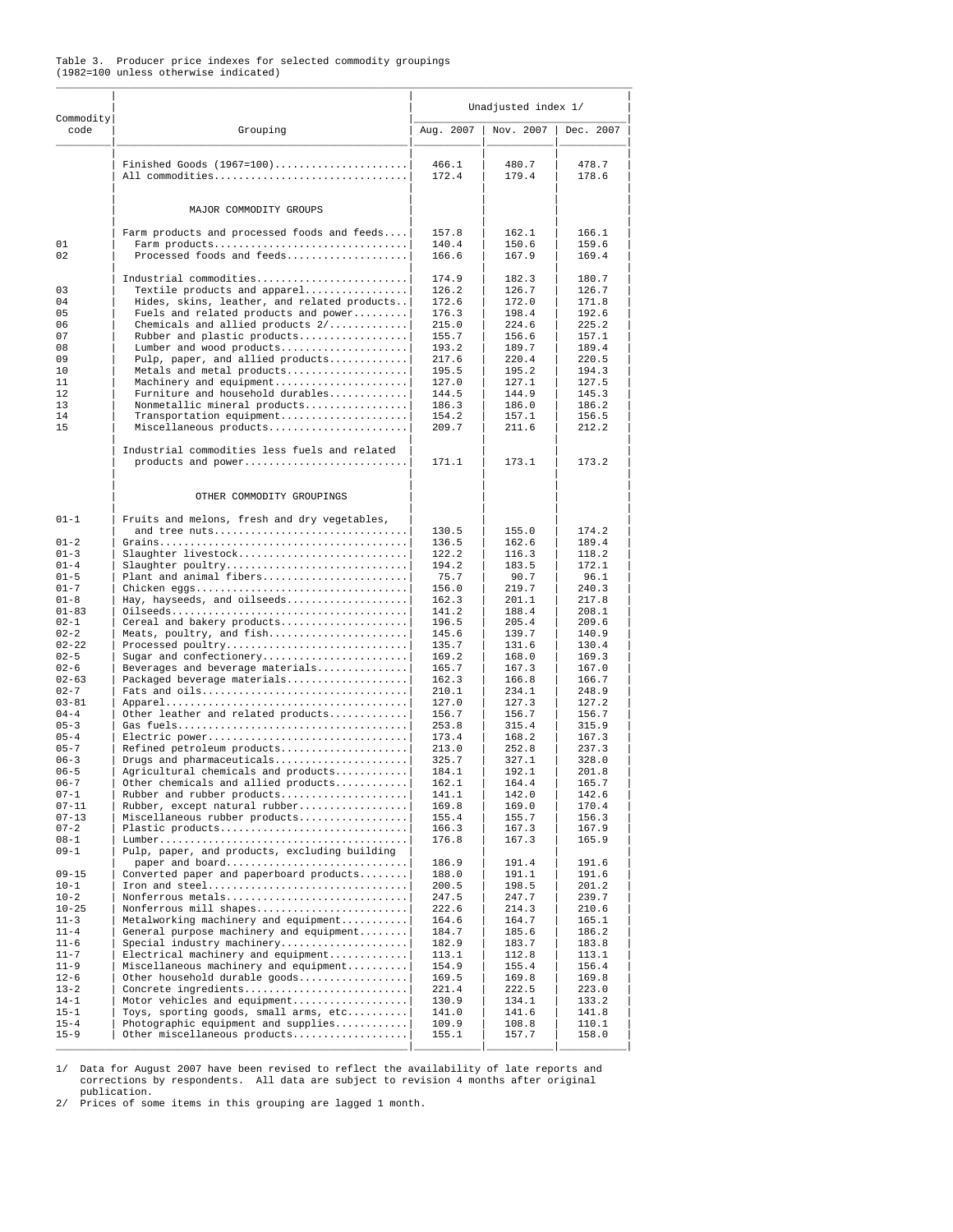## Table 3. Producer price indexes for selected commodity groupings (1982=100 unless otherwise indicated)

|                                                                      |                                                                                  |                | Unadjusted index 1/ |                |
|----------------------------------------------------------------------|----------------------------------------------------------------------------------|----------------|---------------------|----------------|
| Commodity<br>code                                                    | Grouping                                                                         | Aug. 2007      | Nov. 2007           | Dec. 2007      |
|                                                                      | Finished Goods $(1967=100)$<br>All commodities                                   | 466.1<br>172.4 | 480.7<br>179.4      | 478.7<br>178.6 |
|                                                                      | MAJOR COMMODITY GROUPS                                                           |                |                     |                |
|                                                                      | Farm products and processed foods and feeds                                      | 157.8          | 162.1               | 166.1          |
| 01<br>02                                                             | Farm products<br>Processed foods and feeds                                       | 140.4<br>166.6 | 150.6<br>167.9      | 159.6<br>169.4 |
|                                                                      | Industrial commodities                                                           | 174.9          | 182.3               | 180.7          |
| 03                                                                   | Textile products and apparel                                                     | 126.2          | 126.7               | 126.7          |
| 04                                                                   | Hides, skins, leather, and related products                                      | 172.6          | 172.0               | 171.8          |
| 05<br>06                                                             | Fuels and related products and power<br>Chemicals and allied products $2/\ldots$ | 176.3<br>215.0 | 198.4<br>224.6      | 192.6<br>225.2 |
| 07                                                                   | Rubber and plastic products                                                      | 155.7          | 156.6               | 157.1          |
| 08                                                                   | Lumber and wood products                                                         | 193.2          | 189.7               | 189.4          |
| 09                                                                   | Pulp, paper, and allied products                                                 | 217.6          | 220.4               | 220.5          |
| 10                                                                   | Metals and metal products                                                        | 195.5          | 195.2               | 194.3          |
| 11<br>12                                                             | Machinery and equipment<br>Furniture and household durables                      | 127.0<br>144.5 | 127.1<br>144.9      | 127.5<br>145.3 |
| 13                                                                   | Nonmetallic mineral products                                                     | 186.3          | 186.0               | 186.2          |
| 14                                                                   | Transportation equipment                                                         | 154.2          | 157.1               | 156.5          |
| 15                                                                   | Miscellaneous products                                                           | 209.7          | 211.6               | 212.2          |
|                                                                      | Industrial commodities less fuels and related<br>products and power              | 171.1          | 173.1               | 173.2          |
|                                                                      | OTHER COMMODITY GROUPINGS                                                        |                |                     |                |
| $01 - 1$                                                             | Fruits and melons, fresh and dry vegetables,                                     |                |                     |                |
| $01 - 2$                                                             | and tree nuts                                                                    | 130.5<br>136.5 | 155.0<br>162.6      | 174.2<br>189.4 |
| $01 - 3$                                                             | Slaughter livestock                                                              | 122.2          | 116.3               | 118.2          |
| $01 - 4$                                                             | Slaughter poultry                                                                | 194.2          | 183.5               | 172.1          |
| $01 - 5$                                                             | Plant and animal fibers                                                          | 75.7           | 90.7                | 96.1           |
| $01 - 7$                                                             | Chicken eggs                                                                     | 156.0          | 219.7               | 240.3          |
| $01 - 8$<br>$01 - 83$                                                | Hay, hayseeds, and oilseeds                                                      | 162.3<br>141.2 | 201.1<br>188.4      | 217.8<br>208.1 |
| $02 - 1$                                                             | Cereal and bakery products                                                       | 196.5          | 205.4               | 209.6          |
| $02 - 2$                                                             | Meats, poultry, and fish                                                         | 145.6          | 139.7               | 140.9          |
| $02 - 22$                                                            | Processed poultry                                                                | 135.7          | 131.6               | 130.4          |
| $02 - 5$<br>$02 - 6$                                                 | Sugar and confectionery                                                          | 169.2          | 168.0<br>167.3      | 169.3<br>167.0 |
| $02 - 63$                                                            | Beverages and beverage materials<br>Packaged beverage materials                  | 165.7<br>162.3 | 166.8               | 166.7          |
| $02 - 7$                                                             | Fats and oils                                                                    | 210.1          | 234.1               | 248.9          |
| $03 - 81$                                                            |                                                                                  | 127.0          | 127.3               | 127.2          |
| $04 - 4$                                                             | Other leather and related products                                               | 156.7          | 156.7               | 156.7          |
| $05 - 3$<br>$05 - 4$                                                 | Electric power                                                                   | 253.8<br>173.4 | 315.4<br>168.2      | 315.9<br>167.3 |
| $05 - 7$                                                             | Refined petroleum products                                                       | 213.0          | 252.8               | 237.3          |
| $06 - 3$                                                             | Drugs and pharmaceuticals                                                        | 325.7          | 327.1               | 328.0          |
| $06 - 5$                                                             | Agricultural chemicals and products                                              | 184.1          | 192.1               | 201.8          |
| $06 - 7$                                                             | Other chemicals and allied products                                              | 162.1          | 164.4               | 165.7          |
| $07 - 1$<br>$07 - 11$                                                | Rubber and rubber products<br>Rubber, except natural rubber                      | 141.1<br>169.8 | 142.0<br>169.0      | 142.6<br>170.4 |
| $07 - 13$                                                            | Miscellaneous rubber products                                                    | 155.4          | 155.7               | 156.3          |
| $07 - 2$                                                             | Plastic products                                                                 | 166.3          | 167.3               | 167.9          |
| $08 - 1$<br>$09 - 1$                                                 | Pulp, paper, and products, excluding building<br>paper and board                 | 176.8<br>186.9 | 167.3<br>191.4      | 165.9<br>191.6 |
| $09 - 15$                                                            | Converted paper and paperboard products                                          | 188.0          | 191.1               | 191.6          |
| $10 - 1$                                                             | Iron and steel                                                                   | 200.5          | 198.5               | 201.2          |
| $10 - 2$                                                             | Nonferrous metals                                                                | 247.5          | 247.7               | 239.7          |
| $10 - 25$<br>$11 - 3$                                                | Nonferrous mill shapes<br>Metalworking machinery and equipment                   | 222.6<br>164.6 | 214.3<br>164.7      | 210.6<br>165.1 |
| $11 - 4$                                                             | General purpose machinery and equipment                                          | 184.7          | 185.6               | 186.2          |
| $11 - 6$                                                             | Special industry machinery                                                       | 182.9          | 183.7               | 183.8          |
| $11 - 7$                                                             | $Electrical$ machinery and equipment                                             | 113.1          | 112.8               | 113.1          |
| $11 - 9$                                                             | Miscellaneous machinery and equipment                                            | 154.9          | 155.4               | 156.4          |
|                                                                      | Other household durable goods<br>Concrete ingredients                            | 169.5<br>221.4 | 169.8<br>222.5      | 169.8<br>223.0 |
|                                                                      |                                                                                  |                |                     |                |
|                                                                      | Motor vehicles and equipment                                                     | 130.9          | 134.1               | 133.2          |
|                                                                      | Toys, sporting goods, small arms, etc                                            | 141.0          | 141.6               | 141.8          |
| $12 - 6$<br>$13 - 2$<br>$14 - 1$<br>$15 - 1$<br>$15 - 4$<br>$15 - 9$ | Photographic equipment and supplies<br>Other miscellaneous products              | 109.9<br>155.1 | 108.8<br>157.7      | 110.1<br>158.0 |

1/ Data for August 2007 have been revised to reflect the availability of late reports and corrections by respondents. All data are subject to revision 4 months after original

publication. 2/ Prices of some items in this grouping are lagged 1 month.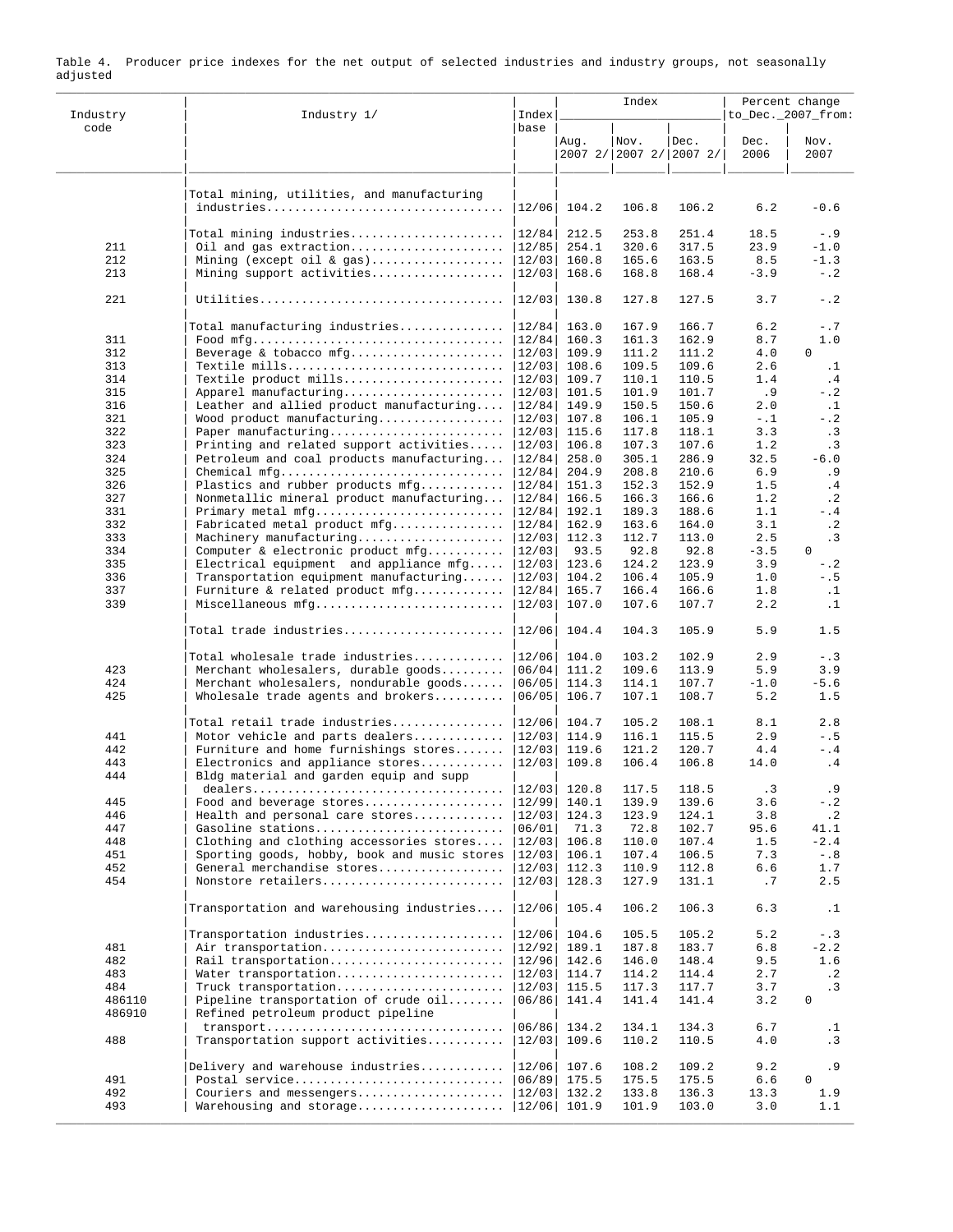| Industry   | Industry 1/                                                                   | Index            |                | Index                           |                | Percent change<br>to_Dec._2007_from: |                  |  |
|------------|-------------------------------------------------------------------------------|------------------|----------------|---------------------------------|----------------|--------------------------------------|------------------|--|
| code       |                                                                               | base             | Aug.           | Nov.<br>2007 2/ 2007 2/ 2007 2/ | Dec.           | Dec.<br>2006                         | Nov.<br>2007     |  |
|            | Total mining, utilities, and manufacturing<br>industries                      |                  |                | 106.8                           | 106.2          |                                      |                  |  |
|            |                                                                               | 12/06            | 104.2          |                                 |                | 6.2                                  | $-0.6$           |  |
| 211        | Total mining industries<br>Oil and gas extraction                             | 12/84            | 212.5<br>254.1 | 253.8<br>320.6                  | 251.4<br>317.5 | 18.5<br>23.9                         | $- .9$<br>$-1.0$ |  |
| 212        | Mining (except oil & gas)                                                     | 12/85<br> 12/03  | 160.8          | 165.6                           | 163.5          | 8.5                                  | $-1.3$           |  |
| 213        | Mining support activities                                                     | 12/03            | 168.6          | 168.8                           | 168.4          | $-3.9$                               | $- 0.2$          |  |
| 221        |                                                                               | 12/03            | 130.8          | 127.8                           | 127.5          | 3.7                                  | $-$ .2           |  |
|            | Total manufacturing industries                                                | 12/84            | 163.0          | 167.9                           | 166.7          | 6.2                                  | $-.7$            |  |
| 311        |                                                                               | 12/84            | 160.3          | 161.3                           | 162.9          | 8.7                                  | 1.0              |  |
| 312<br>313 | Beverage & tobacco mfg<br>Textile mills                                       | 12/03 <br> 12/03 | 109.9<br>108.6 | 111.2<br>109.5                  | 111.2<br>109.6 | 4.0<br>2.6                           | 0<br>$\cdot$ 1   |  |
| 314        | Textile product mills                                                         | 12/03            | 109.7          | 110.1                           | 110.5          | 1.4                                  | .4               |  |
| 315        | Apparel manufacturing                                                         | 12/03            | 101.5          | 101.9                           | 101.7          | .9                                   | $-$ .2           |  |
| 316        | Leather and allied product manufacturing                                      | 12/84            | 149.9          | 150.5                           | 150.6          | 2.0                                  | $\cdot$ 1        |  |
| 321        | Wood product manufacturing                                                    | 12/03            | 107.8          | 106.1                           | 105.9          | $- . 1$                              | $-$ .2           |  |
| 322        | Paper manufacturing                                                           | 12/03            | 115.6          | 117.8                           | 118.1          | 3.3                                  | .3               |  |
| 323        | Printing and related support activities                                       | 12/03            | 106.8          | 107.3                           | 107.6          | 1.2                                  | $\cdot$ 3        |  |
| 324        | Petroleum and coal products manufacturing                                     | 12/84            | 258.0          | 305.1                           | 286.9          | 32.5                                 | $-6.0$           |  |
| 325        | Chemical mfg                                                                  | 12/84            | 204.9          | 208.8                           | 210.6          | 6.9                                  | .9               |  |
| 326<br>327 | Plastics and rubber products mfg<br>Nonmetallic mineral product manufacturing | 12/84 <br> 12/84 | 151.3<br>166.5 | 152.3<br>166.3                  | 152.9<br>166.6 | 1.5<br>1.2                           | .4<br>$\cdot$ 2  |  |
| 331        | Primary metal mfg                                                             | 12/84            | 192.1          | 189.3                           | 188.6          | 1.1                                  | $- .4$           |  |
| 332        | Fabricated metal product mfg                                                  | 12/84            | 162.9          | 163.6                           | 164.0          | 3.1                                  | $\cdot$ 2        |  |
| 333        | Machinery manufacturing                                                       | 12/03            | 112.3          | 112.7                           | 113.0          | 2.5                                  | .3               |  |
| 334        | Computer & electronic product mfg                                             | 12/03            | 93.5           | 92.8                            | 92.8           | $-3.5$                               | $\Omega$         |  |
| 335        | $Electrical equipment$ and appliance $mfg$ .                                  | 12/03            | 123.6          | 124.2                           | 123.9          | 3.9                                  | $-$ .2           |  |
| 336        | Transportation equipment manufacturing                                        | 12/03            | 104.2          | 106.4                           | 105.9          | 1.0                                  | $- . 5$          |  |
| 337        | Furniture & related product mfg                                               | 12/84            | 165.7          | 166.4                           | 166.6          | 1.8                                  | $\cdot$ 1        |  |
| 339        | Miscellaneous mfg                                                             | 12/03            | 107.0          | 107.6                           | 107.7          | 2.2                                  | $\cdot$ 1        |  |
|            | Total trade industries                                                        | 12/06            | 104.4          | 104.3                           | 105.9          | 5.9                                  | 1.5              |  |
|            | Total wholesale trade industries                                              | 12/06            | 104.0          | 103.2                           | 102.9          | 2.9                                  | $- . 3$          |  |
| 423        | Merchant wholesalers, durable goods                                           | 06/04            | 111.2          | 109.6                           | 113.9          | 5.9                                  | 3.9              |  |
| 424        | Merchant wholesalers, nondurable goods                                        | 06/05            | 114.3          | 114.1                           | 107.7          | $-1.0$                               | $-5.6$           |  |
| 425        | Wholesale trade agents and brokers                                            | 06/05            | 106.7          | 107.1                           | 108.7          | 5.2                                  | 1.5              |  |
|            | Total retail trade industries                                                 | 12/06            | 104.7          | 105.2                           | 108.1          | 8.1                                  | 2.8              |  |
| 441        | Motor vehicle and parts dealers                                               | 12/03            | 114.9          | 116.1                           | 115.5          | 2.9                                  | $- . 5$          |  |
| 442        | Furniture and home furnishings stores                                         | 12/03            | 119.6          | 121.2                           | 120.7          | 4.4                                  | $-$ .4           |  |
| 443<br>444 | Electronics and appliance stores<br>Bldg material and garden equip and supp   | 12/03            | 109.8          | 106.4                           | 106.8          | 14.0                                 | .4               |  |
|            |                                                                               | 12/03            | 120.8          | 117.5                           | 118.5          | $\cdot$ 3                            | .9               |  |
| 445        | Food and beverage stores                                                      | 12/99            | 140.1          | 139.9                           | 139.6          | 3.6                                  | $-$ .2           |  |
| 446        | Health and personal care stores                                               | 12/03            | 124.3          | 123.9                           | 124.1          | 3.8                                  | $\cdot$ 2        |  |
| 447        | Gasoline stations                                                             | 06/01            | 71.3           | 72.8                            | 102.7          | 95.6                                 | 41.1             |  |
| 448        | Clothing and clothing accessories stores                                      | 12/03            | 106.8          | 110.0                           | 107.4          | 1.5                                  | $-2.4$           |  |
| 451        | Sporting goods, hobby, book and music stores                                  | 12/03            | 106.1          | 107.4                           | 106.5          | 7.3                                  | $- 0.8$          |  |
| 452        | General merchandise stores                                                    | 12/03            | 112.3          | 110.9                           | 112.8          | 6.6                                  | 1.7              |  |
| 454        | Nonstore retailers                                                            | 12/03            | 128.3          | 127.9                           | 131.1          | .7                                   | 2.5              |  |
|            | Transportation and warehousing industries                                     | 12/06            | 105.4          | 106.2                           | 106.3          | 6.3                                  | $\cdot$ 1        |  |
|            | $Transportation$ industries                                                   | 12/06            | 104.6          | 105.5                           | 105.2          | 5.2                                  | $- . 3$          |  |
| 481        | Air transportation                                                            | 12/92            | 189.1          | 187.8                           | 183.7          | 6.8                                  | $-2.2$           |  |
| 482<br>483 | Rail transportation<br>Water transportation                                   | 12/96<br> 12/03  | 142.6<br>114.7 | 146.0<br>114.2                  | 148.4<br>114.4 | 9.5<br>2.7                           | 1.6<br>$\cdot$ 2 |  |
| 484        | Truck transportation                                                          | 12/03            | 115.5          | 117.3                           | 117.7          | 3.7                                  | .3               |  |
| 486110     | Pipeline transportation of crude oil                                          | 06/86            | 141.4          | 141.4                           | 141.4          | 3.2                                  | 0                |  |
| 486910     | Refined petroleum product pipeline                                            |                  |                |                                 |                |                                      |                  |  |
|            | transport                                                                     | 06/86            | 134.2          | 134.1                           | 134.3          | 6.7                                  | $\cdot$ 1        |  |
| 488        | Transportation support activities                                             | 12/03            | 109.6          | 110.2                           | 110.5          | 4.0                                  | .3               |  |
|            | Delivery and warehouse industries                                             | 12/06            | 107.6          | 108.2                           | 109.2          | 9.2                                  | .9               |  |
| 491        | Postal service                                                                | 06/89            | 175.5          | 175.5                           | 175.5          | 6.6                                  | $\mathbf 0$      |  |
| 492        | Couriers and messengers<br>Warehousing and storage                            | 12/03            | 132.2          | 133.8                           | 136.3          | 13.3                                 | 1.9              |  |
| 493        |                                                                               |                  | 12/06  101.9   | 101.9                           | 103.0          | 3.0                                  | 1.1              |  |

Table 4. Producer price indexes for the net output of selected industries and industry groups, not seasonally adjusted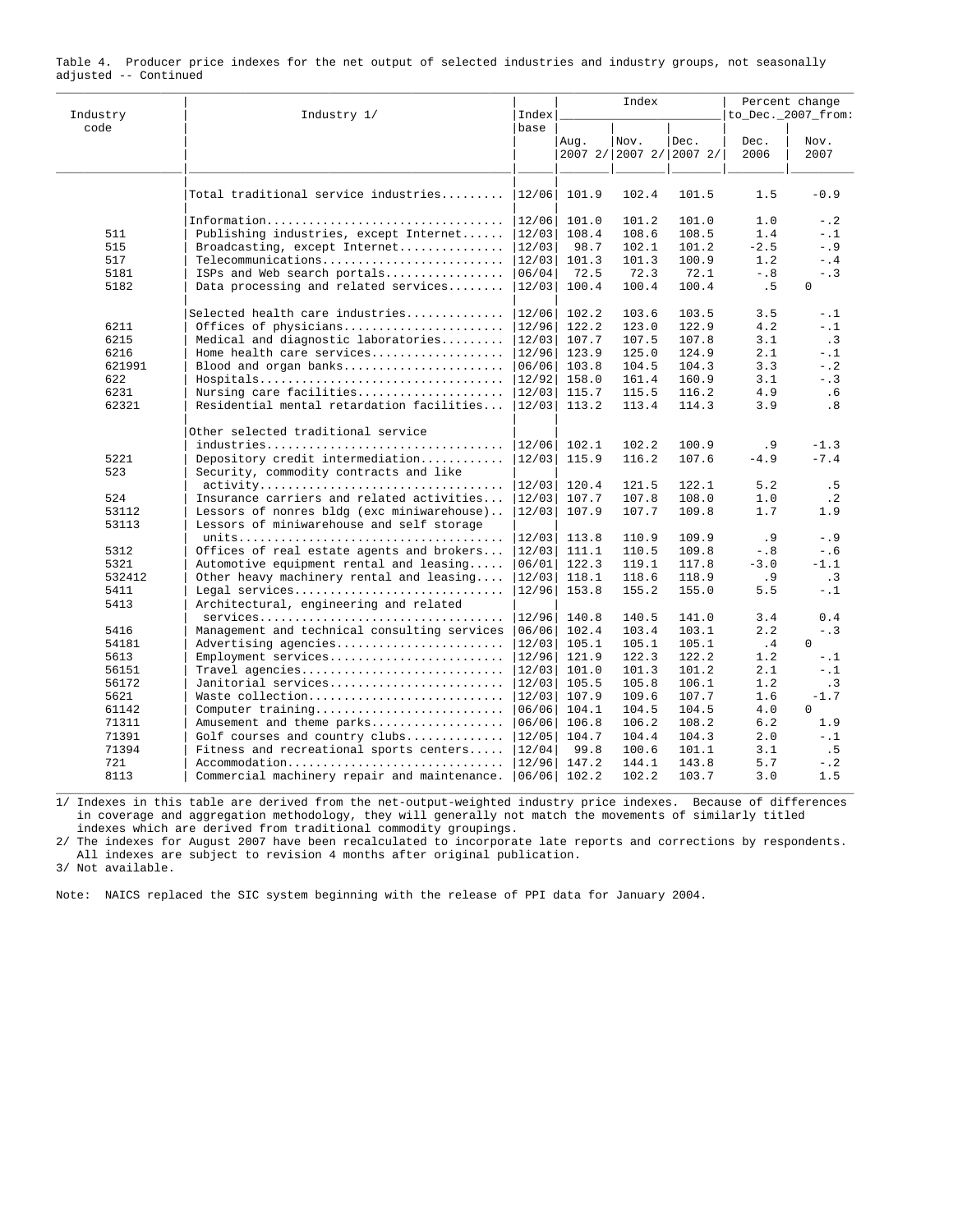| Industry       | Industry 1/                                                                             | Index |       | Index                           |       | Percent change<br>to_Dec._2007_from: |              |
|----------------|-----------------------------------------------------------------------------------------|-------|-------|---------------------------------|-------|--------------------------------------|--------------|
| code           |                                                                                         | base  | Aug.  | Nov.<br>2007 2/ 2007 2/ 2007 2/ | Dec.  | Dec.<br>2006                         | Nov.<br>2007 |
|                |                                                                                         |       |       |                                 |       |                                      |              |
|                | Total traditional service industries                                                    | 12/06 | 101.9 | 102.4                           | 101.5 | 1.5                                  | $-0.9$       |
|                | Information                                                                             | 12/06 | 101.0 | 101.2                           | 101.0 | 1.0                                  | $-$ .2       |
| 511            | Publishing industries, except Internet                                                  | 12/03 | 108.4 | 108.6                           | 108.5 | 1.4                                  | $-1.1$       |
| 515            | Broadcasting, except Internet                                                           | 12/03 | 98.7  | 102.1                           | 101.2 | $-2.5$                               | $- .9$       |
| 517            | Telecommunications                                                                      | 12/03 | 101.3 | 101.3                           | 100.9 | 1.2                                  | $-$ .4       |
| 5181           | ISPs and Web search portals                                                             | 06/04 | 72.5  | 72.3                            | 72.1  | $-0.8$                               | $- . 3$      |
| 5182           | Data processing and related services                                                    | 12/03 | 100.4 | 100.4                           | 100.4 | .5                                   | $\mathbf{0}$ |
|                | Selected health care industries                                                         | 12/06 | 102.2 | 103.6                           | 103.5 | 3.5                                  | $- . 1$      |
| 6211           | Offices of physicians                                                                   | 12/96 | 122.2 | 123.0                           | 122.9 | 4.2                                  | $- .1$       |
| 6215           | Medical and diagnostic laboratories                                                     | 12/03 | 107.7 | 107.5                           | 107.8 | 3.1                                  | .3           |
| 6216           | Home health care services                                                               | 12/96 | 123.9 | 125.0                           | 124.9 | 2.1                                  | $-1$         |
| 621991         | Blood and organ banks                                                                   | 06/06 | 103.8 | 104.5                           | 104.3 | 3.3                                  | $-$ .2       |
| 622            | Hospitals                                                                               | 12/92 | 158.0 | 161.4                           | 160.9 | 3.1                                  | $- . 3$      |
| 6231           | Nursing care facilities                                                                 | 12/03 | 115.7 | 115.5                           | 116.2 | 4.9                                  | . 6          |
| 62321          | Residential mental retardation facilities                                               | 12/03 | 113.2 | 113.4                           | 114.3 | 3.9                                  | .8           |
|                | Other selected traditional service                                                      |       |       |                                 |       |                                      |              |
|                | industries                                                                              | 12/06 | 102.1 | 102.2                           | 100.9 | . 9                                  | $-1.3$       |
| 5221           | Depository credit intermediation                                                        | 12/03 | 115.9 | 116.2                           | 107.6 | $-4.9$                               | $-7.4$       |
| 523            | Security, commodity contracts and like                                                  |       |       |                                 |       |                                      |              |
|                |                                                                                         | 12/03 | 120.4 | 121.5                           | 122.1 | 5.2                                  | .5           |
| 524            | Insurance carriers and related activities                                               | 12/03 | 107.7 | 107.8                           | 108.0 | 1.0                                  | $\cdot$ 2    |
| 53112<br>53113 | Lessors of nonres bldg (exc miniwarehouse)<br>Lessors of miniwarehouse and self storage | 12/03 | 107.9 | 107.7                           | 109.8 | 1.7                                  | 1.9          |
|                |                                                                                         | 12/03 | 113.8 | 110.9                           | 109.9 | .9                                   | $- .9$       |
| 5312           | Offices of real estate agents and brokers                                               | 12/03 | 111.1 | 110.5                           | 109.8 | $-0.8$                               | $-0.6$       |
| 5321           | Automotive equipment rental and leasing                                                 | 06/01 | 122.3 | 119.1                           | 117.8 | $-3.0$                               | $-1.1$       |
| 532412         | Other heavy machinery rental and leasing                                                | 12/03 | 118.1 | 118.6                           | 118.9 | . 9                                  | .3           |
| 5411           | Legal services                                                                          | 12/96 | 153.8 | 155.2                           | 155.0 | 5.5                                  | $-$ .1       |
| 5413           | Architectural, engineering and related                                                  |       |       |                                 |       |                                      |              |
|                | $s$ ervices                                                                             | 12/96 | 140.8 | 140.5                           | 141.0 | 3.4                                  | 0.4          |
| 5416           | Management and technical consulting services                                            | 06/06 | 102.4 | 103.4                           | 103.1 | 2.2                                  | $- . 3$      |
| 54181          | Advertising agencies                                                                    | 12/03 | 105.1 | 105.1                           | 105.1 | .4                                   | $\Omega$     |
| 5613           | Employment services                                                                     | 12/96 | 121.9 | 122.3                           | 122.2 | 1.2                                  | $-1$         |
| 56151          | Travel agencies                                                                         | 12/03 | 101.0 | 101.3                           | 101.2 | 2.1                                  | $-1$         |
| 56172          | Janitorial services                                                                     | 12/03 | 105.5 | 105.8                           | 106.1 | 1.2                                  | .3           |
| 5621           | Waste collection                                                                        | 12/03 | 107.9 | 109.6                           | 107.7 | 1.6                                  | $-1.7$       |
| 61142          | Computer training                                                                       | 06/06 | 104.1 | 104.5                           | 104.5 | 4.0                                  | $\Omega$     |
| 71311          | Amusement and theme parks                                                               | 06/06 | 106.8 | 106.2                           | 108.2 | 6.2                                  | 1.9          |
| 71391          | Golf courses and country clubs                                                          | 12/05 | 104.7 | 104.4                           | 104.3 | 2.0                                  | $-1.1$       |
| 71394          | Fitness and recreational sports centers                                                 | 12/04 | 99.8  | 100.6                           | 101.1 | 3.1                                  | .5           |
| 721            | Accommodation                                                                           | 12/96 | 147.2 | 144.1                           | 143.8 | 5.7                                  | $-$ .2       |
| 8113           | Commercial machinery repair and maintenance. $ 06/06 $                                  |       | 102.2 | 102.2                           | 103.7 | 3.0                                  | 1.5          |

|                       |  |  |  |  |  |  |  | Table 4. Producer price indexes for the net output of selected industries and industry groups, not seasonally |
|-----------------------|--|--|--|--|--|--|--|---------------------------------------------------------------------------------------------------------------|
| adjusted -- Continued |  |  |  |  |  |  |  |                                                                                                               |

1/ Indexes in this table are derived from the net-output-weighted industry price indexes. Because of differences in coverage and aggregation methodology, they will generally not match the movements of similarly titled indexes which are derived from traditional commodity groupings.

2/ The indexes for August 2007 have been recalculated to incorporate late reports and corrections by respondents. All indexes are subject to revision 4 months after original publication.

3/ Not available.

Note: NAICS replaced the SIC system beginning with the release of PPI data for January 2004.